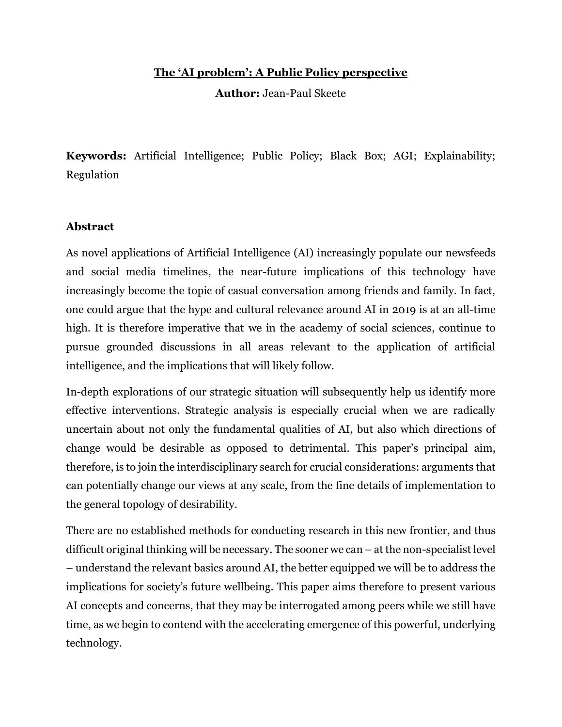## **The 'AI problem': A Public Policy perspective**

**Author:** Jean-Paul Skeete

**Keywords:** Artificial Intelligence; Public Policy; Black Box; AGI; Explainability; Regulation

## **Abstract**

As novel applications of Artificial Intelligence (AI) increasingly populate our newsfeeds and social media timelines, the near-future implications of this technology have increasingly become the topic of casual conversation among friends and family. In fact, one could argue that the hype and cultural relevance around AI in 2019 is at an all-time high. It is therefore imperative that we in the academy of social sciences, continue to pursue grounded discussions in all areas relevant to the application of artificial intelligence, and the implications that will likely follow.

In-depth explorations of our strategic situation will subsequently help us identify more effective interventions. Strategic analysis is especially crucial when we are radically uncertain about not only the fundamental qualities of AI, but also which directions of change would be desirable as opposed to detrimental. This paper's principal aim, therefore, is to join the interdisciplinary search for crucial considerations: arguments that can potentially change our views at any scale, from the fine details of implementation to the general topology of desirability.

There are no established methods for conducting research in this new frontier, and thus difficult original thinking will be necessary. The sooner we can – at the non-specialist level – understand the relevant basics around AI, the better equipped we will be to address the implications for society's future wellbeing. This paper aims therefore to present various AI concepts and concerns, that they may be interrogated among peers while we still have time, as we begin to contend with the accelerating emergence of this powerful, underlying technology.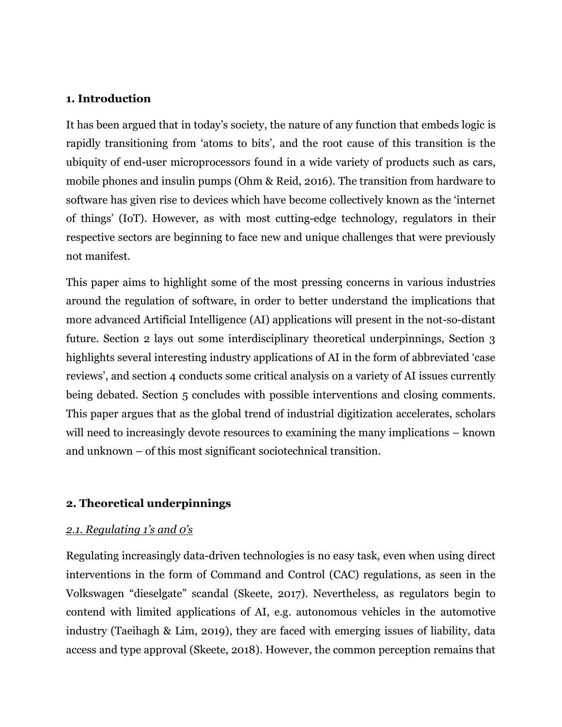#### **1. Introduction**

It has been argued that in today's society, the nature of any function that embeds logic is rapidly transitioning from 'atoms to bits', and the root cause of this transition is the ubiquity of end-user microprocessors found in a wide variety of products such as cars, mobile phones and insulin pumps (Ohm & Reid, 2016). The transition from hardware to software has given rise to devices which have become collectively known as the 'internet of things' (IoT). However, as with most cutting-edge technology, regulators in their respective sectors are beginning to face new and unique challenges that were previously not manifest.

This paper aims to highlight some of the most pressing concerns in various industries around the regulation of software, in order to better understand the implications that more advanced Artificial Intelligence (AI) applications will present in the not-so-distant future. Section 2 lays out some interdisciplinary theoretical underpinnings, Section 3 highlights several interesting industry applications of AI in the form of abbreviated 'case reviews', and section 4 conducts some critical analysis on a variety of AI issues currently being debated. Section 5 concludes with possible interventions and closing comments. This paper argues that as the global trend of industrial digitization accelerates, scholars will need to increasingly devote resources to examining the many implications – known and unknown – of this most significant sociotechnical transition.

#### **2. Theoretical underpinnings**

#### *2.1. Regulating 1's and 0's*

Regulating increasingly data-driven technologies is no easy task, even when using direct interventions in the form of Command and Control (CAC) regulations, as seen in the Volkswagen "dieselgate" scandal (Skeete, 2017). Nevertheless, as regulators begin to contend with limited applications of AI, e.g. autonomous vehicles in the automotive industry (Taeihagh & Lim, 2019), they are faced with emerging issues of liability, data access and type approval (Skeete, 2018). However, the common perception remains that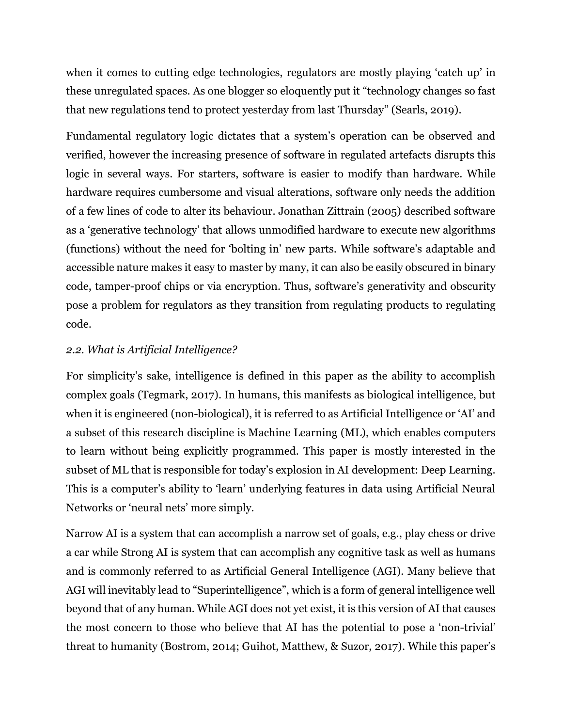when it comes to cutting edge technologies, regulators are mostly playing 'catch up' in these unregulated spaces. As one blogger so eloquently put it "technology changes so fast that new regulations tend to protect yesterday from last Thursday" (Searls, 2019).

Fundamental regulatory logic dictates that a system's operation can be observed and verified, however the increasing presence of software in regulated artefacts disrupts this logic in several ways. For starters, software is easier to modify than hardware. While hardware requires cumbersome and visual alterations, software only needs the addition of a few lines of code to alter its behaviour. Jonathan Zittrain (2005) described software as a 'generative technology' that allows unmodified hardware to execute new algorithms (functions) without the need for 'bolting in' new parts. While software's adaptable and accessible nature makes it easy to master by many, it can also be easily obscured in binary code, tamper-proof chips or via encryption. Thus, software's generativity and obscurity pose a problem for regulators as they transition from regulating products to regulating code.

# *2.2. What is Artificial Intelligence?*

For simplicity's sake, intelligence is defined in this paper as the ability to accomplish complex goals (Tegmark, 2017). In humans, this manifests as biological intelligence, but when it is engineered (non-biological), it is referred to as Artificial Intelligence or 'AI' and a subset of this research discipline is Machine Learning (ML), which enables computers to learn without being explicitly programmed. This paper is mostly interested in the subset of ML that is responsible for today's explosion in AI development: Deep Learning. This is a computer's ability to 'learn' underlying features in data using Artificial Neural Networks or 'neural nets' more simply.

Narrow AI is a system that can accomplish a narrow set of goals, e.g., play chess or drive a car while Strong AI is system that can accomplish any cognitive task as well as humans and is commonly referred to as Artificial General Intelligence (AGI). Many believe that AGI will inevitably lead to "Superintelligence", which is a form of general intelligence well beyond that of any human. While AGI does not yet exist, it is this version of AI that causes the most concern to those who believe that AI has the potential to pose a 'non-trivial' threat to humanity (Bostrom, 2014; Guihot, Matthew, & Suzor, 2017). While this paper's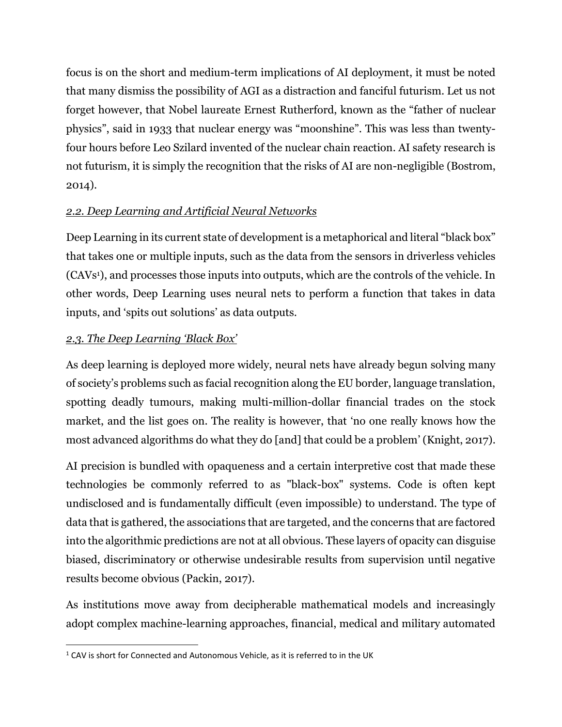focus is on the short and medium-term implications of AI deployment, it must be noted that many dismiss the possibility of AGI as a distraction and fanciful futurism. Let us not forget however, that Nobel laureate Ernest Rutherford, known as the "father of nuclear physics", said in 1933 that nuclear energy was "moonshine". This was less than twentyfour hours before Leo Szilard invented of the nuclear chain reaction. AI safety research is not futurism, it is simply the recognition that the risks of AI are non-negligible (Bostrom, 2014).

# *2.2. Deep Learning and Artificial Neural Networks*

Deep Learning in its current state of development is a metaphorical and literal "black box" that takes one or multiple inputs, such as the data from the sensors in driverless vehicles (CAVs <sup>1</sup>), and processes those inputs into outputs, which are the controls of the vehicle. In other words, Deep Learning uses neural nets to perform a function that takes in data inputs, and 'spits out solutions' as data outputs.

# *2.3. The Deep Learning 'Black Box'*

 $\overline{\phantom{a}}$ 

As deep learning is deployed more widely, neural nets have already begun solving many of society's problems such as facial recognition along the EU border, language translation, spotting deadly tumours, making multi-million-dollar financial trades on the stock market, and the list goes on. The reality is however, that 'no one really knows how the most advanced algorithms do what they do [and] that could be a problem' (Knight, 2017).

AI precision is bundled with opaqueness and a certain interpretive cost that made these technologies be commonly referred to as "black-box" systems. Code is often kept undisclosed and is fundamentally difficult (even impossible) to understand. The type of data that is gathered, the associations that are targeted, and the concerns that are factored into the algorithmic predictions are not at all obvious. These layers of opacity can disguise biased, discriminatory or otherwise undesirable results from supervision until negative results become obvious (Packin, 2017).

As institutions move away from decipherable mathematical models and increasingly adopt complex machine-learning approaches, financial, medical and military automated

<sup>&</sup>lt;sup>1</sup> CAV is short for Connected and Autonomous Vehicle, as it is referred to in the UK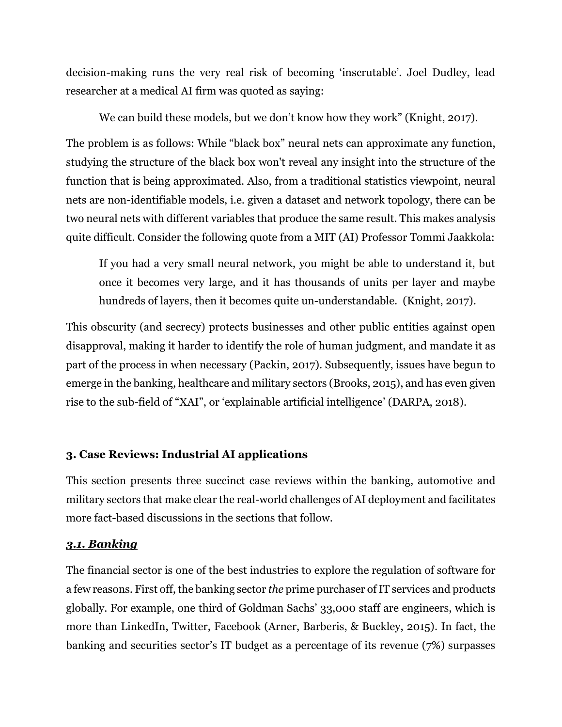decision-making runs the very real risk of becoming 'inscrutable'. Joel Dudley, lead researcher at a medical AI firm was quoted as saying:

We can build these models, but we don't know how they work" (Knight, 2017).

The problem is as follows: While "black box" neural nets can approximate any function, studying the structure of the black box won't reveal any insight into the structure of the function that is being approximated. Also, from a traditional statistics viewpoint, neural nets are non-identifiable models, i.e. given a dataset and network topology, there can be two neural nets with different variables that produce the same result. This makes analysis quite difficult. Consider the following quote from a MIT (AI) Professor Tommi Jaakkola:

If you had a very small neural network, you might be able to understand it, but once it becomes very large, and it has thousands of units per layer and maybe hundreds of layers, then it becomes quite un-understandable. (Knight, 2017).

This obscurity (and secrecy) protects businesses and other public entities against open disapproval, making it harder to identify the role of human judgment, and mandate it as part of the process in when necessary (Packin, 2017). Subsequently, issues have begun to emerge in the banking, healthcare and military sectors (Brooks, 2015), and has even given rise to the sub-field of "XAI", or 'explainable artificial intelligence' (DARPA, 2018).

# **3. Case Reviews: Industrial AI applications**

This section presents three succinct case reviews within the banking, automotive and military sectors that make clear the real-world challenges of AI deployment and facilitates more fact-based discussions in the sections that follow.

## *3.1. Banking*

The financial sector is one of the best industries to explore the regulation of software for a few reasons. First off, the banking sector *the* prime purchaser of IT services and products globally. For example, one third of Goldman Sachs' 33,000 staff are engineers, which is more than LinkedIn, Twitter, Facebook (Arner, Barberis, & Buckley, 2015). In fact, the banking and securities sector's IT budget as a percentage of its revenue (7%) surpasses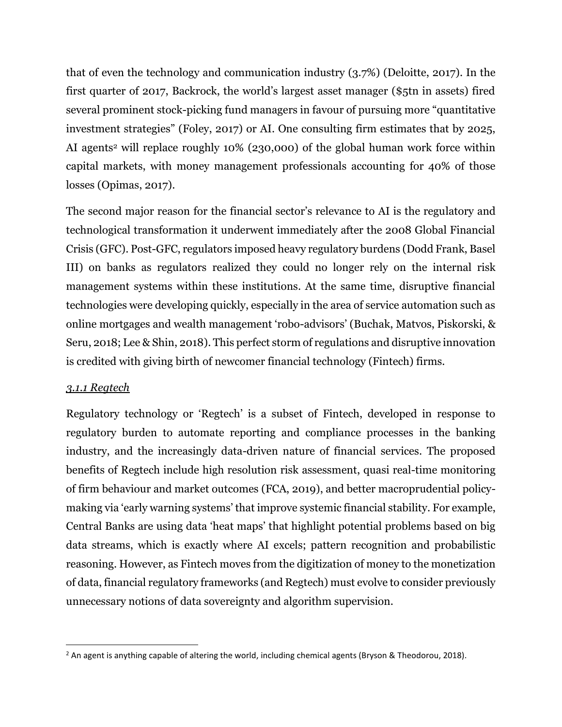that of even the technology and communication industry (3.7%) (Deloitte, 2017). In the first quarter of 2017, Backrock, the world's largest asset manager (\$5tn in assets) fired several prominent stock-picking fund managers in favour of pursuing more "quantitative investment strategies" (Foley, 2017) or AI. One consulting firm estimates that by 2025, AI agents<sup>2</sup> will replace roughly 10% (230,000) of the global human work force within capital markets, with money management professionals accounting for 40% of those losses (Opimas, 2017).

The second major reason for the financial sector's relevance to AI is the regulatory and technological transformation it underwent immediately after the 2008 Global Financial Crisis (GFC). Post-GFC, regulators imposed heavy regulatory burdens (Dodd Frank, Basel III) on banks as regulators realized they could no longer rely on the internal risk management systems within these institutions. At the same time, disruptive financial technologies were developing quickly, especially in the area of service automation such as online mortgages and wealth management 'robo-advisors' (Buchak, Matvos, Piskorski, & Seru, 2018; Lee & Shin, 2018). This perfect storm of regulations and disruptive innovation is credited with giving birth of newcomer financial technology (Fintech) firms.

## *3.1.1 Regtech*

 $\overline{\phantom{a}}$ 

Regulatory technology or 'Regtech' is a subset of Fintech, developed in response to regulatory burden to automate reporting and compliance processes in the banking industry, and the increasingly data-driven nature of financial services. The proposed benefits of Regtech include high resolution risk assessment, quasi real-time monitoring of firm behaviour and market outcomes (FCA, 2019), and better macroprudential policymaking via 'early warning systems' that improve systemic financial stability. For example, Central Banks are using data 'heat maps' that highlight potential problems based on big data streams, which is exactly where AI excels; pattern recognition and probabilistic reasoning. However, as Fintech moves from the digitization of money to the monetization of data, financial regulatory frameworks (and Regtech) must evolve to consider previously unnecessary notions of data sovereignty and algorithm supervision.

<sup>&</sup>lt;sup>2</sup> An agent is anything capable of altering the world, including chemical agents (Bryson & Theodorou, 2018).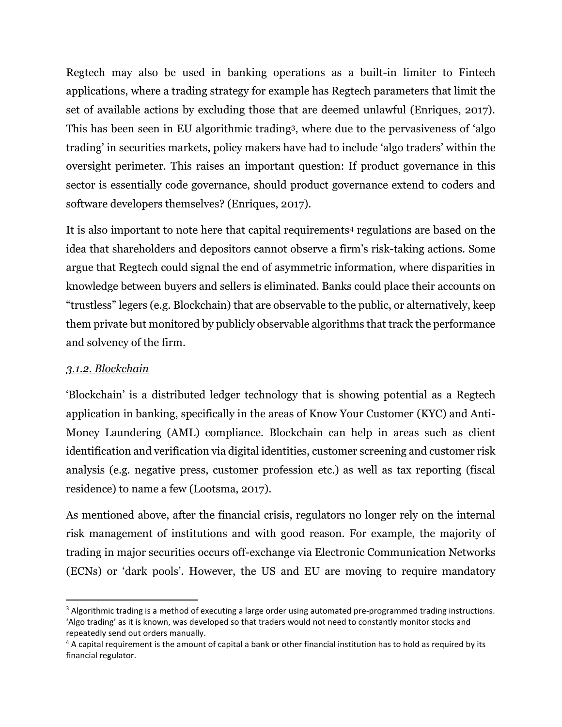Regtech may also be used in banking operations as a built-in limiter to Fintech applications, where a trading strategy for example has Regtech parameters that limit the set of available actions by excluding those that are deemed unlawful (Enriques, 2017). This has been seen in EU algorithmic trading3, where due to the pervasiveness of 'algo trading' in securities markets, policy makers have had to include 'algo traders' within the oversight perimeter. This raises an important question: If product governance in this sector is essentially code governance, should product governance extend to coders and software developers themselves? (Enriques, 2017).

It is also important to note here that capital requirements<sup>4</sup> regulations are based on the idea that shareholders and depositors cannot observe a firm's risk-taking actions. Some argue that Regtech could signal the end of asymmetric information, where disparities in knowledge between buyers and sellers is eliminated. Banks could place their accounts on "trustless" legers (e.g. Blockchain) that are observable to the public, or alternatively, keep them private but monitored by publicly observable algorithms that track the performance and solvency of the firm.

## *3.1.2. Blockchain*

 $\overline{\phantom{a}}$ 

'Blockchain' is a distributed ledger technology that is showing potential as a Regtech application in banking, specifically in the areas of Know Your Customer (KYC) and Anti-Money Laundering (AML) compliance. Blockchain can help in areas such as client identification and verification via digital identities, customer screening and customer risk analysis (e.g. negative press, customer profession etc.) as well as tax reporting (fiscal residence) to name a few (Lootsma, 2017).

As mentioned above, after the financial crisis, regulators no longer rely on the internal risk management of institutions and with good reason. For example, the majority of trading in major securities occurs off-exchange via Electronic Communication Networks (ECNs) or 'dark pools'. However, the US and EU are moving to require mandatory

<sup>&</sup>lt;sup>3</sup> Algorithmic trading is a method of executing a large order using automated pre-programmed trading instructions. 'Algo trading' as it is known, was developed so that traders would not need to constantly monitor stocks and repeatedly send out orders manually.

 $4$  A capital requirement is the amount of capital a bank or other financial institution has to hold as required by its financial regulator.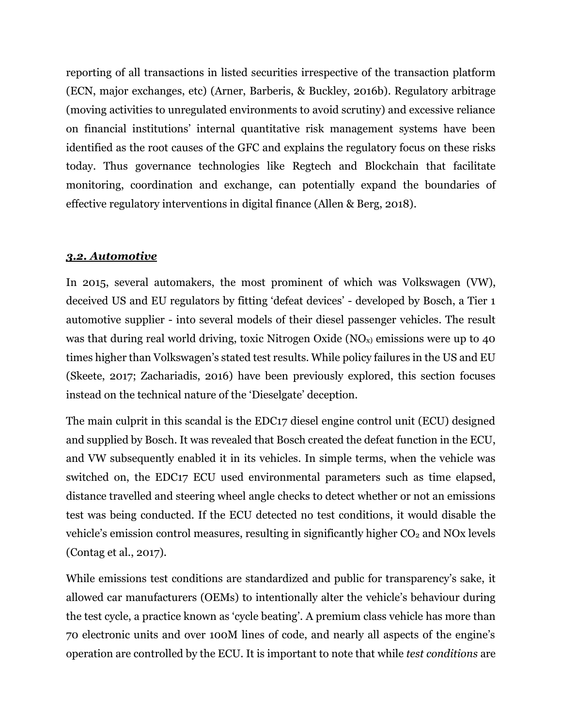reporting of all transactions in listed securities irrespective of the transaction platform (ECN, major exchanges, etc) (Arner, Barberis, & Buckley, 2016b). Regulatory arbitrage (moving activities to unregulated environments to avoid scrutiny) and excessive reliance on financial institutions' internal quantitative risk management systems have been identified as the root causes of the GFC and explains the regulatory focus on these risks today. Thus governance technologies like Regtech and Blockchain that facilitate monitoring, coordination and exchange, can potentially expand the boundaries of effective regulatory interventions in digital finance (Allen & Berg, 2018).

#### *3.2. Automotive*

In 2015, several automakers, the most prominent of which was Volkswagen (VW), deceived US and EU regulators by fitting 'defeat devices' - developed by Bosch, a Tier 1 automotive supplier - into several models of their diesel passenger vehicles. The result was that during real world driving, toxic Nitrogen Oxide ( $NO<sub>x</sub>$ ) emissions were up to 40 times higher than Volkswagen's stated test results. While policy failures in the US and EU (Skeete, 2017; Zachariadis, 2016) have been previously explored, this section focuses instead on the technical nature of the 'Dieselgate' deception.

The main culprit in this scandal is the EDC17 diesel engine control unit (ECU) designed and supplied by Bosch. It was revealed that Bosch created the defeat function in the ECU, and VW subsequently enabled it in its vehicles. In simple terms, when the vehicle was switched on, the EDC17 ECU used environmental parameters such as time elapsed, distance travelled and steering wheel angle checks to detect whether or not an emissions test was being conducted. If the ECU detected no test conditions, it would disable the vehicle's emission control measures, resulting in significantly higher  $CO<sub>2</sub>$  and NOx levels (Contag et al., 2017).

While emissions test conditions are standardized and public for transparency's sake, it allowed car manufacturers (OEMs) to intentionally alter the vehicle's behaviour during the test cycle, a practice known as 'cycle beating'. A premium class vehicle has more than 70 electronic units and over 100M lines of code, and nearly all aspects of the engine's operation are controlled by the ECU. It is important to note that while *test conditions* are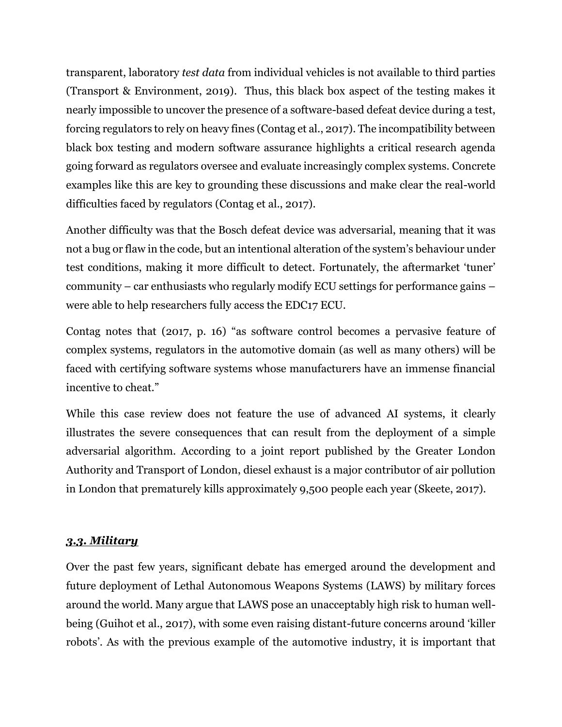transparent, laboratory *test data* from individual vehicles is not available to third parties (Transport & Environment, 2019). Thus, this black box aspect of the testing makes it nearly impossible to uncover the presence of a software-based defeat device during a test, forcing regulators to rely on heavy fines (Contag et al., 2017). The incompatibility between black box testing and modern software assurance highlights a critical research agenda going forward as regulators oversee and evaluate increasingly complex systems. Concrete examples like this are key to grounding these discussions and make clear the real-world difficulties faced by regulators (Contag et al., 2017).

Another difficulty was that the Bosch defeat device was adversarial, meaning that it was not a bug or flaw in the code, but an intentional alteration of the system's behaviour under test conditions, making it more difficult to detect. Fortunately, the aftermarket 'tuner' community – car enthusiasts who regularly modify ECU settings for performance gains – were able to help researchers fully access the EDC17 ECU.

Contag notes that (2017, p. 16) "as software control becomes a pervasive feature of complex systems, regulators in the automotive domain (as well as many others) will be faced with certifying software systems whose manufacturers have an immense financial incentive to cheat."

While this case review does not feature the use of advanced AI systems, it clearly illustrates the severe consequences that can result from the deployment of a simple adversarial algorithm. According to a joint report published by the Greater London Authority and Transport of London, diesel exhaust is a major contributor of air pollution in London that prematurely kills approximately 9,500 people each year (Skeete, 2017).

## *3.3. Military*

Over the past few years, significant debate has emerged around the development and future deployment of Lethal Autonomous Weapons Systems (LAWS) by military forces around the world. Many argue that LAWS pose an unacceptably high risk to human wellbeing (Guihot et al., 2017), with some even raising distant-future concerns around 'killer robots'. As with the previous example of the automotive industry, it is important that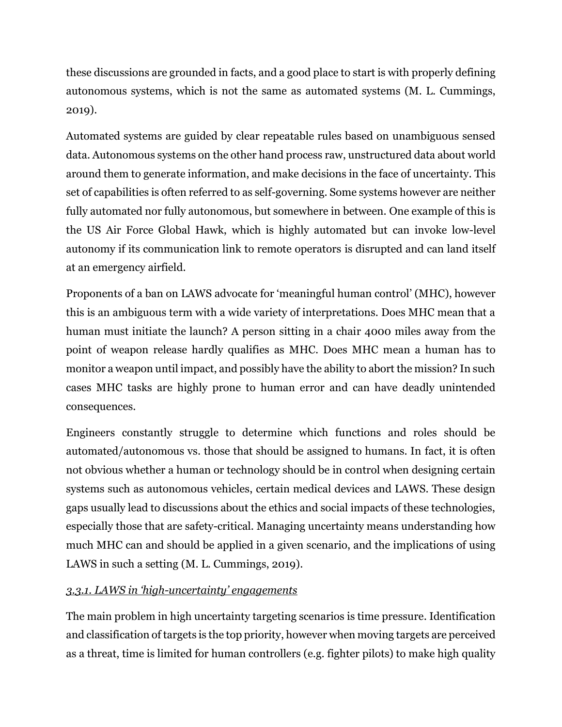these discussions are grounded in facts, and a good place to start is with properly defining autonomous systems, which is not the same as automated systems (M. L. Cummings, 2019).

Automated systems are guided by clear repeatable rules based on unambiguous sensed data. Autonomous systems on the other hand process raw, unstructured data about world around them to generate information, and make decisions in the face of uncertainty. This set of capabilities is often referred to as self-governing. Some systems however are neither fully automated nor fully autonomous, but somewhere in between. One example of this is the US Air Force Global Hawk, which is highly automated but can invoke low-level autonomy if its communication link to remote operators is disrupted and can land itself at an emergency airfield.

Proponents of a ban on LAWS advocate for 'meaningful human control' (MHC), however this is an ambiguous term with a wide variety of interpretations. Does MHC mean that a human must initiate the launch? A person sitting in a chair 4000 miles away from the point of weapon release hardly qualifies as MHC. Does MHC mean a human has to monitor a weapon until impact, and possibly have the ability to abort the mission? In such cases MHC tasks are highly prone to human error and can have deadly unintended consequences.

Engineers constantly struggle to determine which functions and roles should be automated/autonomous vs. those that should be assigned to humans. In fact, it is often not obvious whether a human or technology should be in control when designing certain systems such as autonomous vehicles, certain medical devices and LAWS. These design gaps usually lead to discussions about the ethics and social impacts of these technologies, especially those that are safety-critical. Managing uncertainty means understanding how much MHC can and should be applied in a given scenario, and the implications of using LAWS in such a setting (M. L. Cummings, 2019).

# *3.3.1. LAWS in 'high-uncertainty' engagements*

The main problem in high uncertainty targeting scenarios is time pressure. Identification and classification of targets is the top priority, however when moving targets are perceived as a threat, time is limited for human controllers (e.g. fighter pilots) to make high quality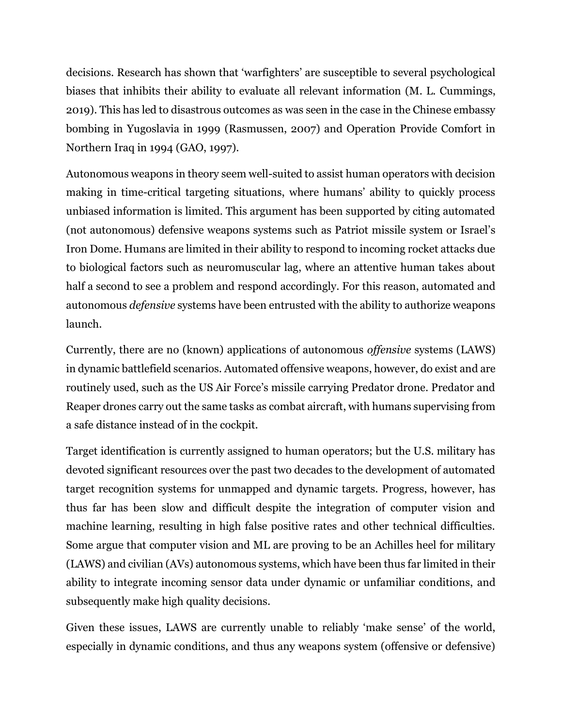decisions. Research has shown that 'warfighters' are susceptible to several psychological biases that inhibits their ability to evaluate all relevant information (M. L. Cummings, 2019). This has led to disastrous outcomes as was seen in the case in the Chinese embassy bombing in Yugoslavia in 1999 (Rasmussen, 2007) and Operation Provide Comfort in Northern Iraq in 1994 (GAO, 1997).

Autonomous weapons in theory seem well-suited to assist human operators with decision making in time-critical targeting situations, where humans' ability to quickly process unbiased information is limited. This argument has been supported by citing automated (not autonomous) defensive weapons systems such as Patriot missile system or Israel's Iron Dome. Humans are limited in their ability to respond to incoming rocket attacks due to biological factors such as neuromuscular lag, where an attentive human takes about half a second to see a problem and respond accordingly. For this reason, automated and autonomous *defensive* systems have been entrusted with the ability to authorize weapons launch.

Currently, there are no (known) applications of autonomous *offensive* systems (LAWS) in dynamic battlefield scenarios. Automated offensive weapons, however, do exist and are routinely used, such as the US Air Force's missile carrying Predator drone. Predator and Reaper drones carry out the same tasks as combat aircraft, with humans supervising from a safe distance instead of in the cockpit.

Target identification is currently assigned to human operators; but the U.S. military has devoted significant resources over the past two decades to the development of automated target recognition systems for unmapped and dynamic targets. Progress, however, has thus far has been slow and difficult despite the integration of computer vision and machine learning, resulting in high false positive rates and other technical difficulties. Some argue that computer vision and ML are proving to be an Achilles heel for military (LAWS) and civilian (AVs) autonomous systems, which have been thus far limited in their ability to integrate incoming sensor data under dynamic or unfamiliar conditions, and subsequently make high quality decisions.

Given these issues, LAWS are currently unable to reliably 'make sense' of the world, especially in dynamic conditions, and thus any weapons system (offensive or defensive)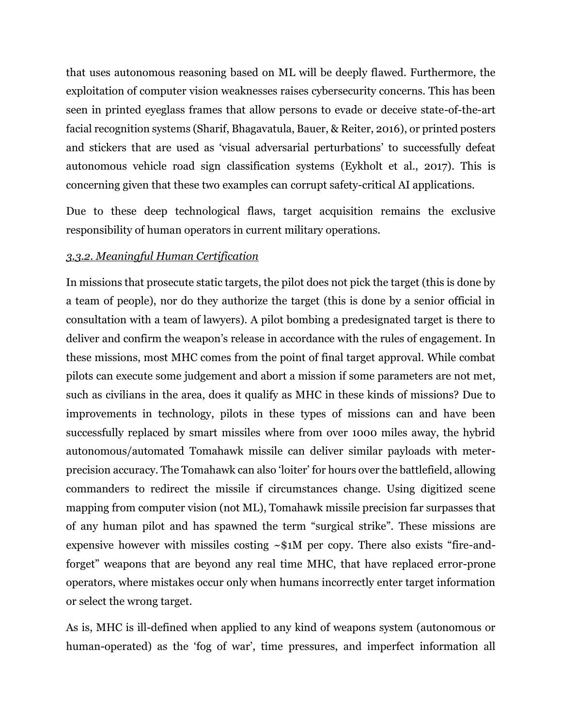that uses autonomous reasoning based on ML will be deeply flawed. Furthermore, the exploitation of computer vision weaknesses raises cybersecurity concerns. This has been seen in printed eyeglass frames that allow persons to evade or deceive state-of-the-art facial recognition systems (Sharif, Bhagavatula, Bauer, & Reiter, 2016), or printed posters and stickers that are used as 'visual adversarial perturbations' to successfully defeat autonomous vehicle road sign classification systems (Eykholt et al., 2017). This is concerning given that these two examples can corrupt safety-critical AI applications.

Due to these deep technological flaws, target acquisition remains the exclusive responsibility of human operators in current military operations.

#### *3.3.2. Meaningful Human Certification*

In missions that prosecute static targets, the pilot does not pick the target (this is done by a team of people), nor do they authorize the target (this is done by a senior official in consultation with a team of lawyers). A pilot bombing a predesignated target is there to deliver and confirm the weapon's release in accordance with the rules of engagement. In these missions, most MHC comes from the point of final target approval. While combat pilots can execute some judgement and abort a mission if some parameters are not met, such as civilians in the area, does it qualify as MHC in these kinds of missions? Due to improvements in technology, pilots in these types of missions can and have been successfully replaced by smart missiles where from over 1000 miles away, the hybrid autonomous/automated Tomahawk missile can deliver similar payloads with meterprecision accuracy. The Tomahawk can also 'loiter' for hours over the battlefield, allowing commanders to redirect the missile if circumstances change. Using digitized scene mapping from computer vision (not ML), Tomahawk missile precision far surpasses that of any human pilot and has spawned the term "surgical strike". These missions are expensive however with missiles costing  $\sim$ \$1M per copy. There also exists "fire-andforget" weapons that are beyond any real time MHC, that have replaced error-prone operators, where mistakes occur only when humans incorrectly enter target information or select the wrong target.

As is, MHC is ill-defined when applied to any kind of weapons system (autonomous or human-operated) as the 'fog of war', time pressures, and imperfect information all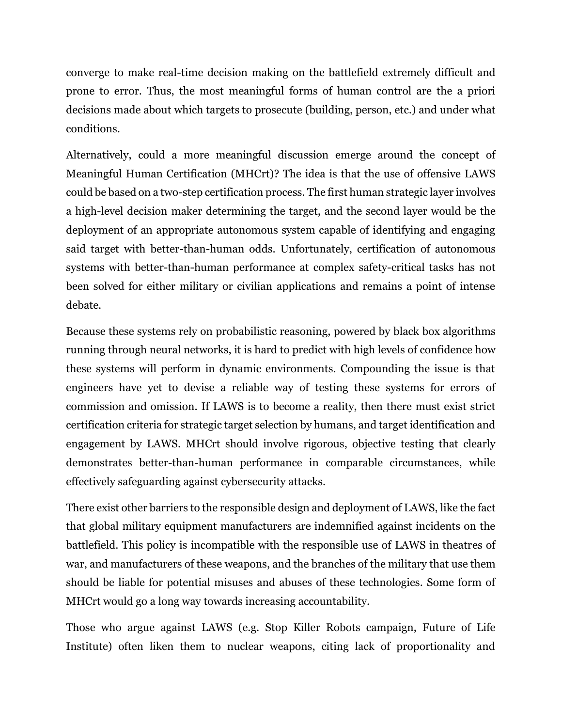converge to make real-time decision making on the battlefield extremely difficult and prone to error. Thus, the most meaningful forms of human control are the a priori decisions made about which targets to prosecute (building, person, etc.) and under what conditions.

Alternatively, could a more meaningful discussion emerge around the concept of Meaningful Human Certification (MHCrt)? The idea is that the use of offensive LAWS could be based on a two-step certification process. The first human strategic layer involves a high-level decision maker determining the target, and the second layer would be the deployment of an appropriate autonomous system capable of identifying and engaging said target with better-than-human odds. Unfortunately, certification of autonomous systems with better-than-human performance at complex safety-critical tasks has not been solved for either military or civilian applications and remains a point of intense debate.

Because these systems rely on probabilistic reasoning, powered by black box algorithms running through neural networks, it is hard to predict with high levels of confidence how these systems will perform in dynamic environments. Compounding the issue is that engineers have yet to devise a reliable way of testing these systems for errors of commission and omission. If LAWS is to become a reality, then there must exist strict certification criteria for strategic target selection by humans, and target identification and engagement by LAWS. MHCrt should involve rigorous, objective testing that clearly demonstrates better-than-human performance in comparable circumstances, while effectively safeguarding against cybersecurity attacks.

There exist other barriers to the responsible design and deployment of LAWS, like the fact that global military equipment manufacturers are indemnified against incidents on the battlefield. This policy is incompatible with the responsible use of LAWS in theatres of war, and manufacturers of these weapons, and the branches of the military that use them should be liable for potential misuses and abuses of these technologies. Some form of MHCrt would go a long way towards increasing accountability.

Those who argue against LAWS (e.g. Stop Killer Robots campaign, Future of Life Institute) often liken them to nuclear weapons, citing lack of proportionality and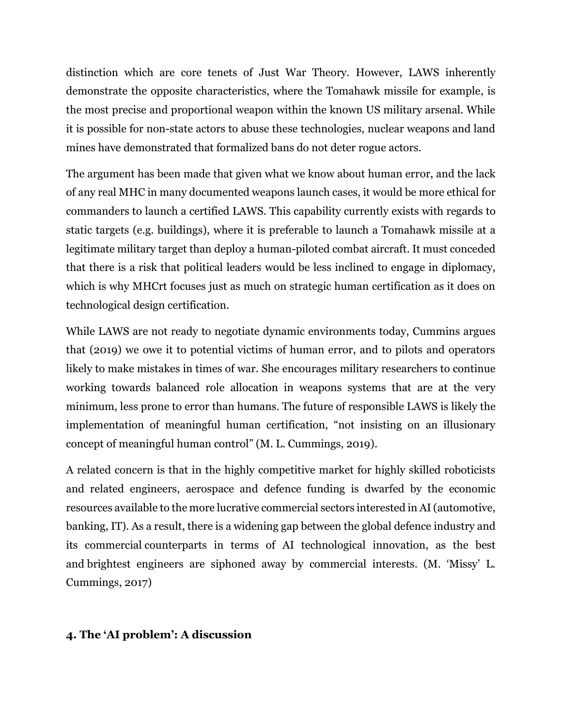distinction which are core tenets of Just War Theory. However, LAWS inherently demonstrate the opposite characteristics, where the Tomahawk missile for example, is the most precise and proportional weapon within the known US military arsenal. While it is possible for non-state actors to abuse these technologies, nuclear weapons and land mines have demonstrated that formalized bans do not deter rogue actors.

The argument has been made that given what we know about human error, and the lack of any real MHC in many documented weapons launch cases, it would be more ethical for commanders to launch a certified LAWS. This capability currently exists with regards to static targets (e.g. buildings), where it is preferable to launch a Tomahawk missile at a legitimate military target than deploy a human-piloted combat aircraft. It must conceded that there is a risk that political leaders would be less inclined to engage in diplomacy, which is why MHCrt focuses just as much on strategic human certification as it does on technological design certification.

While LAWS are not ready to negotiate dynamic environments today, Cummins argues that (2019) we owe it to potential victims of human error, and to pilots and operators likely to make mistakes in times of war. She encourages military researchers to continue working towards balanced role allocation in weapons systems that are at the very minimum, less prone to error than humans. The future of responsible LAWS is likely the implementation of meaningful human certification, "not insisting on an illusionary concept of meaningful human control" (M. L. Cummings, 2019).

A related concern is that in the highly competitive market for highly skilled roboticists and related engineers, aerospace and defence funding is dwarfed by the economic resources available to the more lucrative commercial sectors interested in AI (automotive, banking, IT). As a result, there is a widening gap between the global defence industry and its commercial counterparts in terms of AI technological innovation, as the best and brightest engineers are siphoned away by commercial interests. (M. 'Missy' L. Cummings, 2017)

## **4. The 'AI problem': A discussion**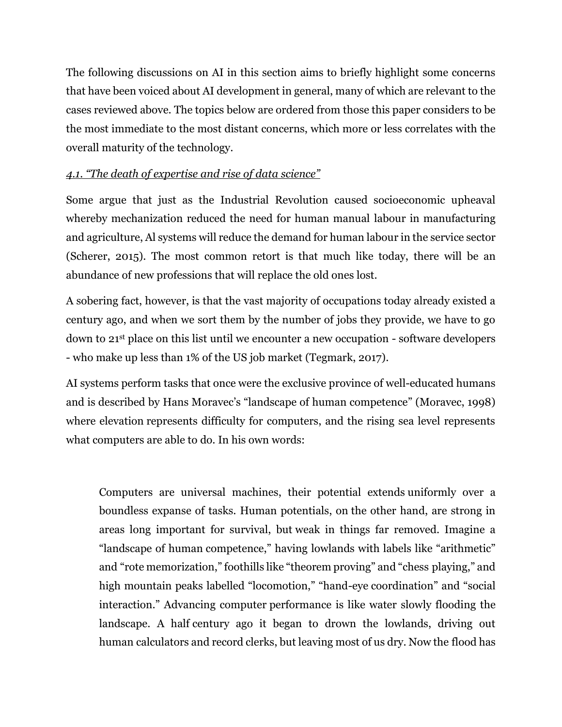The following discussions on AI in this section aims to briefly highlight some concerns that have been voiced about AI development in general, many of which are relevant to the cases reviewed above. The topics below are ordered from those this paper considers to be the most immediate to the most distant concerns, which more or less correlates with the overall maturity of the technology.

# *4.1. "The death of expertise and rise of data science"*

Some argue that just as the Industrial Revolution caused socioeconomic upheaval whereby mechanization reduced the need for human manual labour in manufacturing and agriculture, Al systems will reduce the demand for human labour in the service sector (Scherer, 2015). The most common retort is that much like today, there will be an abundance of new professions that will replace the old ones lost.

A sobering fact, however, is that the vast majority of occupations today already existed a century ago, and when we sort them by the number of jobs they provide, we have to go down to 21st place on this list until we encounter a new occupation - software developers - who make up less than 1% of the US job market (Tegmark, 2017).

AI systems perform tasks that once were the exclusive province of well-educated humans and is described by Hans Moravec's "landscape of human competence" (Moravec, 1998) where elevation represents difficulty for computers, and the rising sea level represents what computers are able to do. In his own words:

Computers are universal machines, their potential extends uniformly over a boundless expanse of tasks. Human potentials, on the other hand, are strong in areas long important for survival, but weak in things far removed. Imagine a "landscape of human competence," having lowlands with labels like "arithmetic" and "rote memorization," foothills like "theorem proving" and "chess playing," and high mountain peaks labelled "locomotion," "hand-eye coordination" and "social interaction." Advancing computer performance is like water slowly flooding the landscape. A half century ago it began to drown the lowlands, driving out human calculators and record clerks, but leaving most of us dry. Now the flood has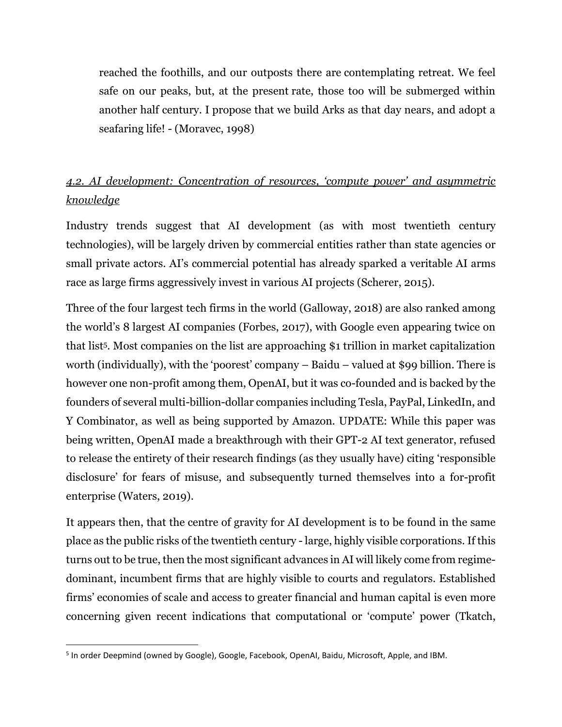reached the foothills, and our outposts there are contemplating retreat. We feel safe on our peaks, but, at the present rate, those too will be submerged within another half century. I propose that we build Arks as that day nears, and adopt a seafaring life! - (Moravec, 1998)

# *4.2. AI development: Concentration of resources, 'compute power' and asymmetric knowledge*

Industry trends suggest that AI development (as with most twentieth century technologies), will be largely driven by commercial entities rather than state agencies or small private actors. AI's commercial potential has already sparked a veritable AI arms race as large firms aggressively invest in various AI projects (Scherer, 2015).

Three of the four largest tech firms in the world (Galloway, 2018) are also ranked among the world's 8 largest AI companies (Forbes, 2017), with Google even appearing twice on that list5. Most companies on the list are approaching \$1 trillion in market capitalization worth (individually), with the 'poorest' company – Baidu – valued at \$99 billion. There is however one non-profit among them, OpenAI, but it was co-founded and is backed by the founders of several multi-billion-dollar companies including Tesla, PayPal, LinkedIn, and Y Combinator, as well as being supported by Amazon. UPDATE: While this paper was being written, OpenAI made a breakthrough with their GPT-2 AI text generator, refused to release the entirety of their research findings (as they usually have) citing 'responsible disclosure' for fears of misuse, and subsequently turned themselves into a for-profit enterprise (Waters, 2019).

It appears then, that the centre of gravity for AI development is to be found in the same place as the public risks of the twentieth century - large, highly visible corporations. If this turns out to be true, then the most significant advances in AI will likely come from regimedominant, incumbent firms that are highly visible to courts and regulators. Established firms' economies of scale and access to greater financial and human capital is even more concerning given recent indications that computational or 'compute' power (Tkatch,

 $\overline{\phantom{a}}$ 

<sup>&</sup>lt;sup>5</sup> In order Deepmind (owned by Google), Google, Facebook, OpenAI, Baidu, Microsoft, Apple, and IBM.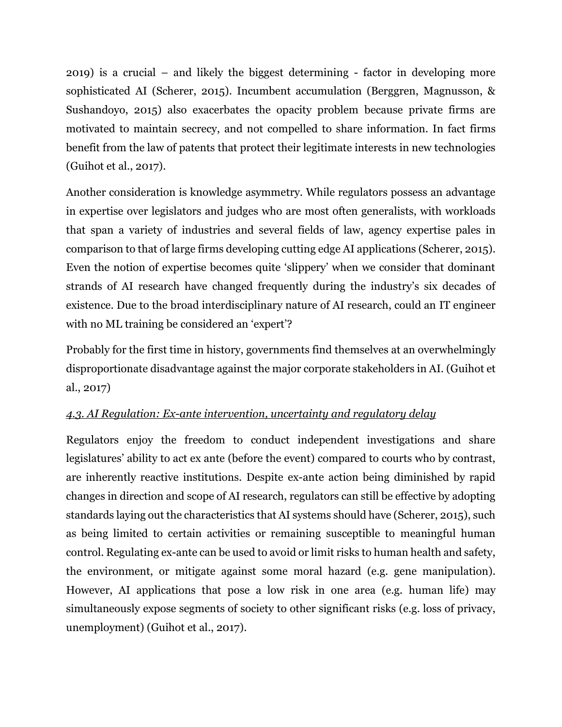2019) is a crucial – and likely the biggest determining - factor in developing more sophisticated AI (Scherer, 2015). Incumbent accumulation (Berggren, Magnusson, & Sushandoyo, 2015) also exacerbates the opacity problem because private firms are motivated to maintain secrecy, and not compelled to share information. In fact firms benefit from the law of patents that protect their legitimate interests in new technologies (Guihot et al., 2017).

Another consideration is knowledge asymmetry. While regulators possess an advantage in expertise over legislators and judges who are most often generalists, with workloads that span a variety of industries and several fields of law, agency expertise pales in comparison to that of large firms developing cutting edge AI applications (Scherer, 2015). Even the notion of expertise becomes quite 'slippery' when we consider that dominant strands of AI research have changed frequently during the industry's six decades of existence. Due to the broad interdisciplinary nature of AI research, could an IT engineer with no ML training be considered an 'expert'?

Probably for the first time in history, governments find themselves at an overwhelmingly disproportionate disadvantage against the major corporate stakeholders in AI. (Guihot et al., 2017)

# *4.3. AI Regulation: Ex-ante intervention, uncertainty and regulatory delay*

Regulators enjoy the freedom to conduct independent investigations and share legislatures' ability to act ex ante (before the event) compared to courts who by contrast, are inherently reactive institutions. Despite ex-ante action being diminished by rapid changes in direction and scope of AI research, regulators can still be effective by adopting standards laying out the characteristics that AI systems should have (Scherer, 2015), such as being limited to certain activities or remaining susceptible to meaningful human control. Regulating ex-ante can be used to avoid or limit risks to human health and safety, the environment, or mitigate against some moral hazard (e.g. gene manipulation). However, AI applications that pose a low risk in one area (e.g. human life) may simultaneously expose segments of society to other significant risks (e.g. loss of privacy, unemployment) (Guihot et al., 2017).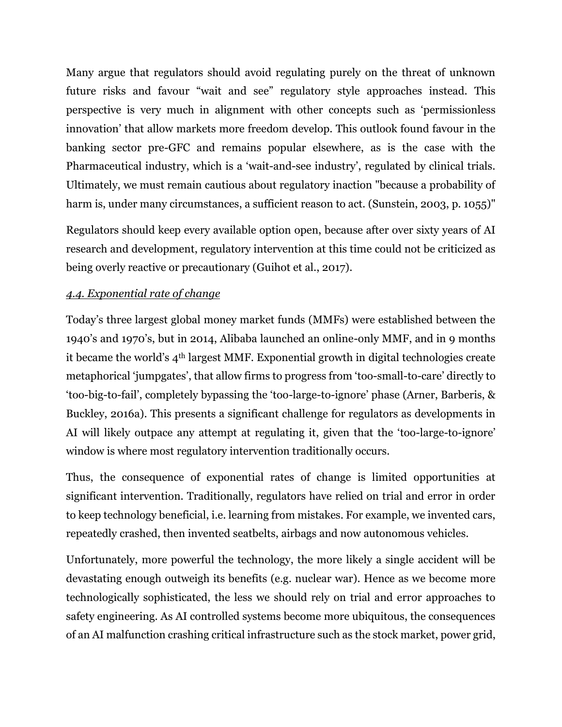Many argue that regulators should avoid regulating purely on the threat of unknown future risks and favour "wait and see" regulatory style approaches instead. This perspective is very much in alignment with other concepts such as 'permissionless innovation' that allow markets more freedom develop. This outlook found favour in the banking sector pre-GFC and remains popular elsewhere, as is the case with the Pharmaceutical industry, which is a 'wait-and-see industry', regulated by clinical trials. Ultimately, we must remain cautious about regulatory inaction "because a probability of harm is, under many circumstances, a sufficient reason to act. (Sunstein, 2003, p. 1055)"

Regulators should keep every available option open, because after over sixty years of AI research and development, regulatory intervention at this time could not be criticized as being overly reactive or precautionary (Guihot et al., 2017).

## *4.4. Exponential rate of change*

Today's three largest global money market funds (MMFs) were established between the 1940's and 1970's, but in 2014, Alibaba launched an online-only MMF, and in 9 months it became the world's 4th largest MMF. Exponential growth in digital technologies create metaphorical 'jumpgates', that allow firms to progress from 'too-small-to-care' directly to 'too-big-to-fail', completely bypassing the 'too-large-to-ignore' phase (Arner, Barberis, & Buckley, 2016a). This presents a significant challenge for regulators as developments in AI will likely outpace any attempt at regulating it, given that the 'too-large-to-ignore' window is where most regulatory intervention traditionally occurs.

Thus, the consequence of exponential rates of change is limited opportunities at significant intervention. Traditionally, regulators have relied on trial and error in order to keep technology beneficial, i.e. learning from mistakes. For example, we invented cars, repeatedly crashed, then invented seatbelts, airbags and now autonomous vehicles.

Unfortunately, more powerful the technology, the more likely a single accident will be devastating enough outweigh its benefits (e.g. nuclear war). Hence as we become more technologically sophisticated, the less we should rely on trial and error approaches to safety engineering. As AI controlled systems become more ubiquitous, the consequences of an AI malfunction crashing critical infrastructure such as the stock market, power grid,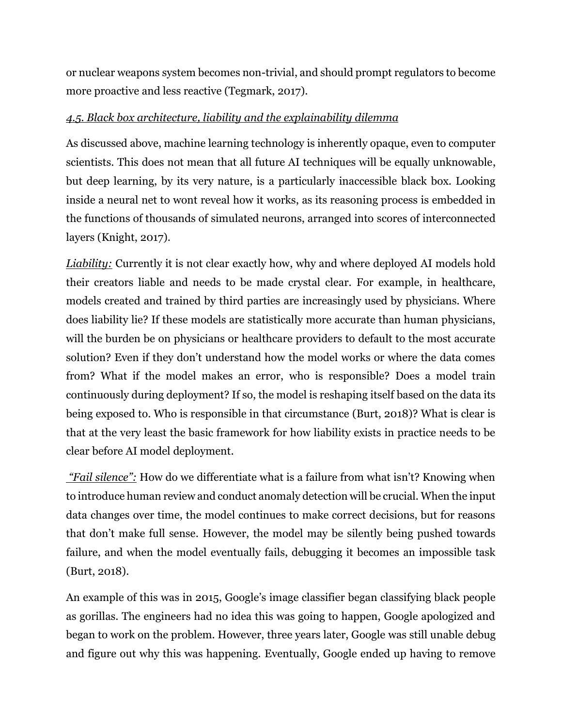or nuclear weapons system becomes non-trivial, and should prompt regulators to become more proactive and less reactive (Tegmark, 2017).

# *4.5. Black box architecture, liability and the explainability dilemma*

As discussed above, machine learning technology is inherently opaque, even to computer scientists. This does not mean that all future AI techniques will be equally unknowable, but deep learning, by its very nature, is a particularly inaccessible black box. Looking inside a neural net to wont reveal how it works, as its reasoning process is embedded in the functions of thousands of simulated neurons, arranged into scores of interconnected layers (Knight, 2017).

*Liability:* Currently it is not clear exactly how, why and where deployed AI models hold their creators liable and needs to be made crystal clear. For example, in healthcare, models created and trained by third parties are increasingly used by physicians. Where does liability lie? If these models are statistically more accurate than human physicians, will the burden be on physicians or healthcare providers to default to the most accurate solution? Even if they don't understand how the model works or where the data comes from? What if the model makes an error, who is responsible? Does a model train continuously during deployment? If so, the model is reshaping itself based on the data its being exposed to. Who is responsible in that circumstance (Burt, 2018)? What is clear is that at the very least the basic framework for how liability exists in practice needs to be clear before AI model deployment.

*"Fail silence":* How do we differentiate what is a failure from what isn't? Knowing when to introduce human review and conduct anomaly detection will be crucial. When the input data changes over time, the model continues to make correct decisions, but for reasons that don't make full sense. However, the model may be silently being pushed towards failure, and when the model eventually fails, debugging it becomes an impossible task (Burt, 2018).

An example of this was in 2015, Google's image classifier began classifying black people as gorillas. The engineers had no idea this was going to happen, Google apologized and began to work on the problem. However, three years later, Google was still unable debug and figure out why this was happening. Eventually, Google ended up having to remove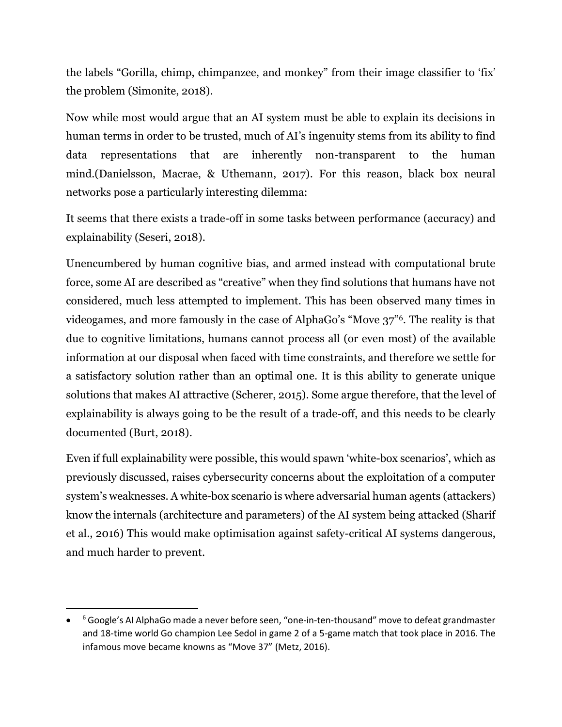the labels "Gorilla, chimp, chimpanzee, and monkey" from their image classifier to 'fix' the problem (Simonite, 2018).

Now while most would argue that an AI system must be able to explain its decisions in human terms in order to be trusted, much of AI's ingenuity stems from its ability to find data representations that are inherently non-transparent to the human mind.(Danielsson, Macrae, & Uthemann, 2017). For this reason, black box neural networks pose a particularly interesting dilemma:

It seems that there exists a trade-off in some tasks between performance (accuracy) and explainability (Seseri, 2018).

Unencumbered by human cognitive bias, and armed instead with computational brute force, some AI are described as "creative" when they find solutions that humans have not considered, much less attempted to implement. This has been observed many times in videogames, and more famously in the case of AlphaGo's "Move 37"6. The reality is that due to cognitive limitations, humans cannot process all (or even most) of the available information at our disposal when faced with time constraints, and therefore we settle for a satisfactory solution rather than an optimal one. It is this ability to generate unique solutions that makes AI attractive (Scherer, 2015). Some argue therefore, that the level of explainability is always going to be the result of a trade-off, and this needs to be clearly documented (Burt, 2018).

Even if full explainability were possible, this would spawn 'white-box scenarios', which as previously discussed, raises cybersecurity concerns about the exploitation of a computer system's weaknesses. A white-box scenario is where adversarial human agents (attackers) know the internals (architecture and parameters) of the AI system being attacked (Sharif et al., 2016) This would make optimisation against safety-critical AI systems dangerous, and much harder to prevent.

 $\overline{\phantom{a}}$ 

<sup>•</sup> <sup>6</sup> Google's AI AlphaGo made a never before seen, "one-in-ten-thousand" move to defeat grandmaster and 18-time world Go champion Lee Sedol in game 2 of a 5-game match that took place in 2016. The infamous move became knowns as "Move 37" (Metz, 2016).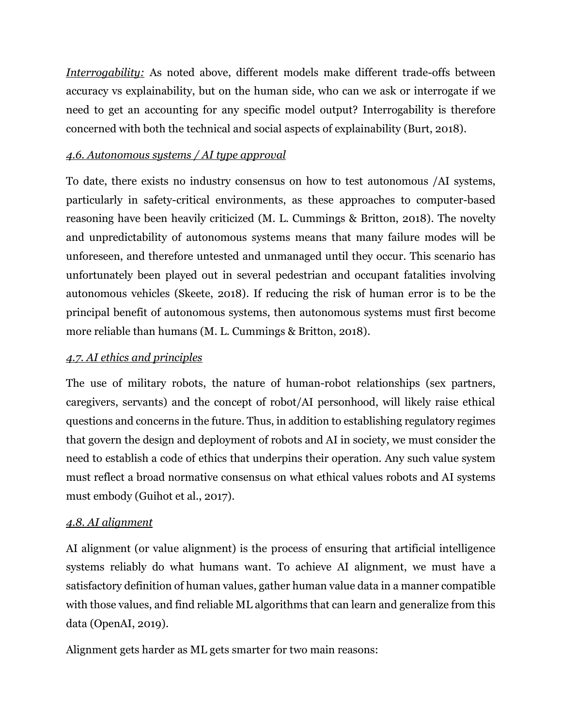*Interrogability:* As noted above, different models make different trade-offs between accuracy vs explainability, but on the human side, who can we ask or interrogate if we need to get an accounting for any specific model output? Interrogability is therefore concerned with both the technical and social aspects of explainability (Burt, 2018).

# *4.6. Autonomous systems / AI type approval*

To date, there exists no industry consensus on how to test autonomous /AI systems, particularly in safety-critical environments, as these approaches to computer-based reasoning have been heavily criticized (M. L. Cummings & Britton, 2018). The novelty and unpredictability of autonomous systems means that many failure modes will be unforeseen, and therefore untested and unmanaged until they occur. This scenario has unfortunately been played out in several pedestrian and occupant fatalities involving autonomous vehicles (Skeete, 2018). If reducing the risk of human error is to be the principal benefit of autonomous systems, then autonomous systems must first become more reliable than humans (M. L. Cummings & Britton, 2018).

## *4.7. AI ethics and principles*

The use of military robots, the nature of human-robot relationships (sex partners, caregivers, servants) and the concept of robot/AI personhood, will likely raise ethical questions and concerns in the future. Thus, in addition to establishing regulatory regimes that govern the design and deployment of robots and AI in society, we must consider the need to establish a code of ethics that underpins their operation. Any such value system must reflect a broad normative consensus on what ethical values robots and AI systems must embody (Guihot et al., 2017).

## *4.8. AI alignment*

AI alignment (or value alignment) is the process of ensuring that artificial intelligence systems reliably do what humans want. To achieve AI alignment, we must have a satisfactory definition of human values, gather human value data in a manner compatible with those values, and find reliable ML algorithms that can learn and generalize from this data (OpenAI, 2019).

Alignment gets harder as ML gets smarter for two main reasons: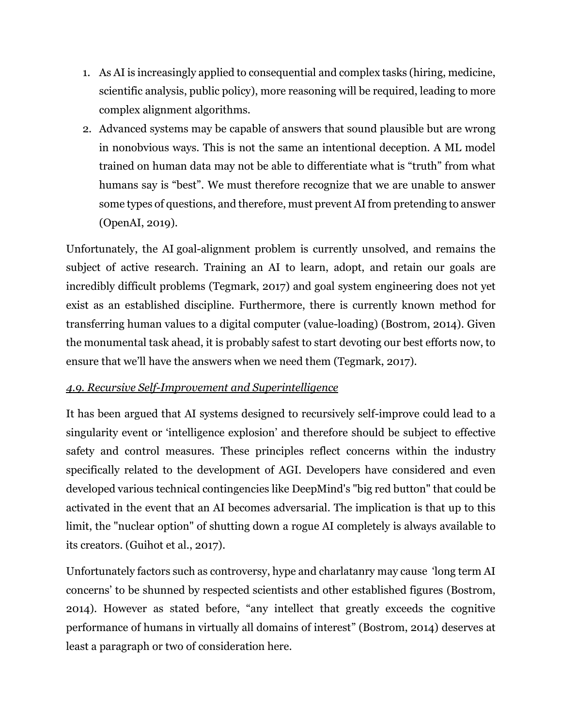- 1. As AI is increasingly applied to consequential and complex tasks (hiring, medicine, scientific analysis, public policy), more reasoning will be required, leading to more complex alignment algorithms.
- 2. Advanced systems may be capable of answers that sound plausible but are wrong in nonobvious ways. This is not the same an intentional deception. A ML model trained on human data may not be able to differentiate what is "truth" from what humans say is "best". We must therefore recognize that we are unable to answer some types of questions, and therefore, must prevent AI from pretending to answer (OpenAI, 2019).

Unfortunately, the AI goal-alignment problem is currently unsolved, and remains the subject of active research. Training an AI to learn, adopt, and retain our goals are incredibly difficult problems (Tegmark, 2017) and goal system engineering does not yet exist as an established discipline. Furthermore, there is currently known method for transferring human values to a digital computer (value-loading) (Bostrom, 2014). Given the monumental task ahead, it is probably safest to start devoting our best efforts now, to ensure that we'll have the answers when we need them (Tegmark, 2017).

# *4.9. Recursive Self-Improvement and Superintelligence*

It has been argued that AI systems designed to recursively self-improve could lead to a singularity event or 'intelligence explosion' and therefore should be subject to effective safety and control measures. These principles reflect concerns within the industry specifically related to the development of AGI. Developers have considered and even developed various technical contingencies like DeepMind's "big red button" that could be activated in the event that an AI becomes adversarial. The implication is that up to this limit, the "nuclear option" of shutting down a rogue AI completely is always available to its creators. (Guihot et al., 2017).

Unfortunately factors such as controversy, hype and charlatanry may cause 'long term AI concerns' to be shunned by respected scientists and other established figures (Bostrom, 2014). However as stated before, "any intellect that greatly exceeds the cognitive performance of humans in virtually all domains of interest" (Bostrom, 2014) deserves at least a paragraph or two of consideration here.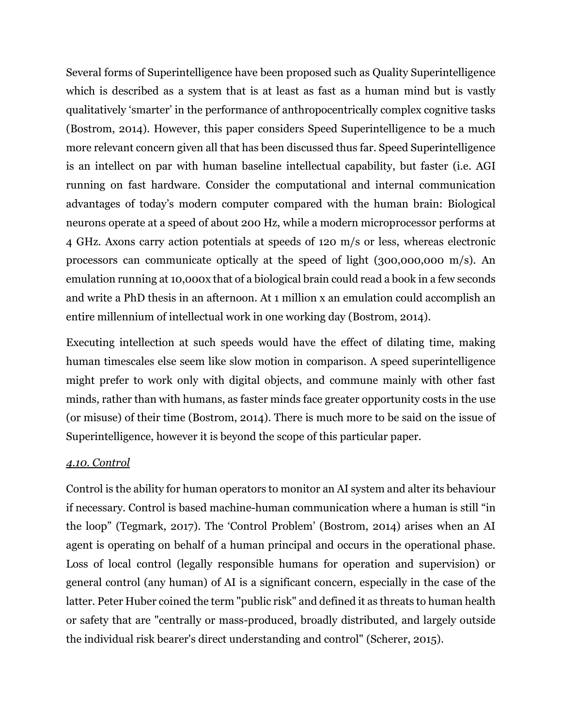Several forms of Superintelligence have been proposed such as Quality Superintelligence which is described as a system that is at least as fast as a human mind but is vastly qualitatively 'smarter' in the performance of anthropocentrically complex cognitive tasks (Bostrom, 2014). However, this paper considers Speed Superintelligence to be a much more relevant concern given all that has been discussed thus far. Speed Superintelligence is an intellect on par with human baseline intellectual capability, but faster (i.e. AGI running on fast hardware. Consider the computational and internal communication advantages of today's modern computer compared with the human brain: Biological neurons operate at a speed of about 200 Hz, while a modern microprocessor performs at 4 GHz. Axons carry action potentials at speeds of 120 m/s or less, whereas electronic processors can communicate optically at the speed of light (300,000,000 m/s). An emulation running at 10,000x that of a biological brain could read a book in a few seconds and write a PhD thesis in an afternoon. At 1 million x an emulation could accomplish an entire millennium of intellectual work in one working day (Bostrom, 2014).

Executing intellection at such speeds would have the effect of dilating time, making human timescales else seem like slow motion in comparison. A speed superintelligence might prefer to work only with digital objects, and commune mainly with other fast minds, rather than with humans, as faster minds face greater opportunity costs in the use (or misuse) of their time (Bostrom, 2014). There is much more to be said on the issue of Superintelligence, however it is beyond the scope of this particular paper.

## *4.10. Control*

Control is the ability for human operators to monitor an AI system and alter its behaviour if necessary. Control is based machine-human communication where a human is still "in the loop" (Tegmark, 2017). The 'Control Problem' (Bostrom, 2014) arises when an AI agent is operating on behalf of a human principal and occurs in the operational phase. Loss of local control (legally responsible humans for operation and supervision) or general control (any human) of AI is a significant concern, especially in the case of the latter. Peter Huber coined the term "public risk" and defined it as threats to human health or safety that are "centrally or mass-produced, broadly distributed, and largely outside the individual risk bearer's direct understanding and control" (Scherer, 2015).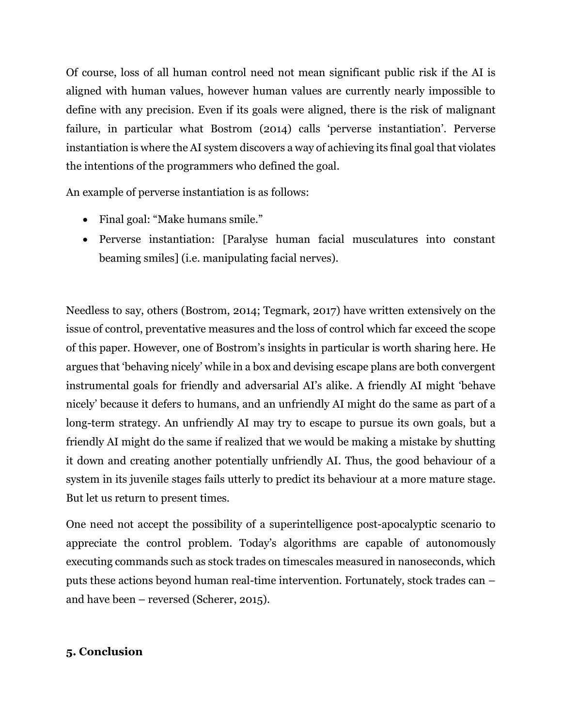Of course, loss of all human control need not mean significant public risk if the AI is aligned with human values, however human values are currently nearly impossible to define with any precision. Even if its goals were aligned, there is the risk of malignant failure, in particular what Bostrom (2014) calls 'perverse instantiation'. Perverse instantiation is where the AI system discovers a way of achieving its final goal that violates the intentions of the programmers who defined the goal.

An example of perverse instantiation is as follows:

- Final goal: "Make humans smile."
- Perverse instantiation: [Paralyse human facial musculatures into constant beaming smiles] (i.e. manipulating facial nerves).

Needless to say, others (Bostrom, 2014; Tegmark, 2017) have written extensively on the issue of control, preventative measures and the loss of control which far exceed the scope of this paper. However, one of Bostrom's insights in particular is worth sharing here. He argues that 'behaving nicely' while in a box and devising escape plans are both convergent instrumental goals for friendly and adversarial AI's alike. A friendly AI might 'behave nicely' because it defers to humans, and an unfriendly AI might do the same as part of a long-term strategy. An unfriendly AI may try to escape to pursue its own goals, but a friendly AI might do the same if realized that we would be making a mistake by shutting it down and creating another potentially unfriendly AI. Thus, the good behaviour of a system in its juvenile stages fails utterly to predict its behaviour at a more mature stage. But let us return to present times.

One need not accept the possibility of a superintelligence post-apocalyptic scenario to appreciate the control problem. Today's algorithms are capable of autonomously executing commands such as stock trades on timescales measured in nanoseconds, which puts these actions beyond human real-time intervention. Fortunately, stock trades can – and have been – reversed (Scherer, 2015).

## **5. Conclusion**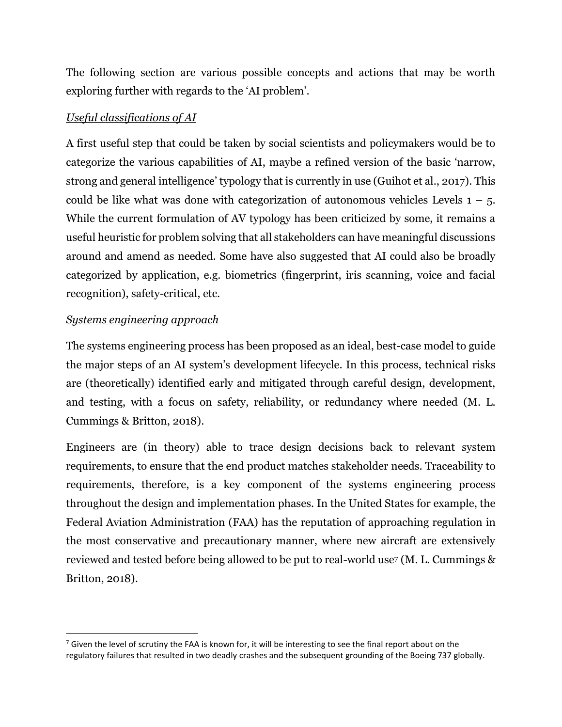The following section are various possible concepts and actions that may be worth exploring further with regards to the 'AI problem'.

## *Useful classifications of AI*

A first useful step that could be taken by social scientists and policymakers would be to categorize the various capabilities of AI, maybe a refined version of the basic 'narrow, strong and general intelligence' typology that is currently in use (Guihot et al., 2017). This could be like what was done with categorization of autonomous vehicles Levels  $1 - 5$ . While the current formulation of AV typology has been criticized by some, it remains a useful heuristic for problem solving that all stakeholders can have meaningful discussions around and amend as needed. Some have also suggested that AI could also be broadly categorized by application, e.g. biometrics (fingerprint, iris scanning, voice and facial recognition), safety-critical, etc.

## *Systems engineering approach*

 $\overline{\phantom{a}}$ 

The systems engineering process has been proposed as an ideal, best-case model to guide the major steps of an AI system's development lifecycle. In this process, technical risks are (theoretically) identified early and mitigated through careful design, development, and testing, with a focus on safety, reliability, or redundancy where needed (M. L. Cummings & Britton, 2018).

Engineers are (in theory) able to trace design decisions back to relevant system requirements, to ensure that the end product matches stakeholder needs. Traceability to requirements, therefore, is a key component of the systems engineering process throughout the design and implementation phases. In the United States for example, the Federal Aviation Administration (FAA) has the reputation of approaching regulation in the most conservative and precautionary manner, where new aircraft are extensively reviewed and tested before being allowed to be put to real-world use<sup>7</sup> (M. L. Cummings & Britton, 2018).

 $^7$  Given the level of scrutiny the FAA is known for, it will be interesting to see the final report about on the regulatory failures that resulted in two deadly crashes and the subsequent grounding of the Boeing 737 globally.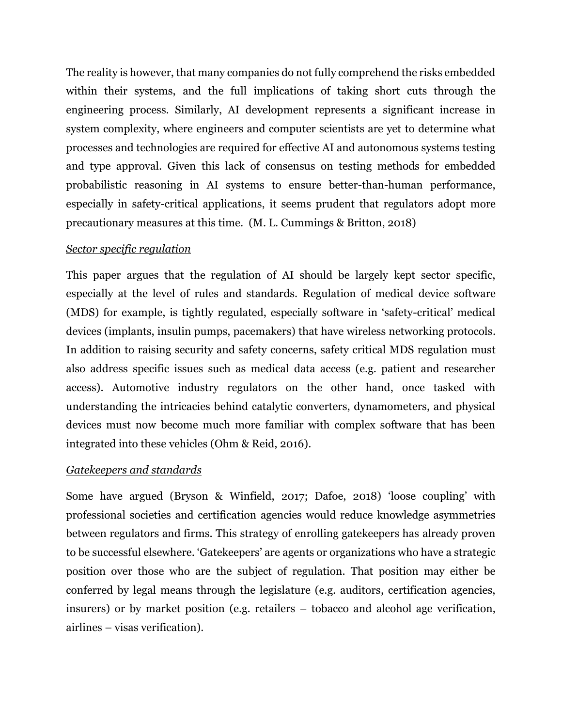The reality is however, that many companies do not fully comprehend the risks embedded within their systems, and the full implications of taking short cuts through the engineering process. Similarly, AI development represents a significant increase in system complexity, where engineers and computer scientists are yet to determine what processes and technologies are required for effective AI and autonomous systems testing and type approval. Given this lack of consensus on testing methods for embedded probabilistic reasoning in AI systems to ensure better-than-human performance, especially in safety-critical applications, it seems prudent that regulators adopt more precautionary measures at this time. (M. L. Cummings & Britton, 2018)

#### *Sector specific regulation*

This paper argues that the regulation of AI should be largely kept sector specific, especially at the level of rules and standards. Regulation of medical device software (MDS) for example, is tightly regulated, especially software in 'safety-critical' medical devices (implants, insulin pumps, pacemakers) that have wireless networking protocols. In addition to raising security and safety concerns, safety critical MDS regulation must also address specific issues such as medical data access (e.g. patient and researcher access). Automotive industry regulators on the other hand, once tasked with understanding the intricacies behind catalytic converters, dynamometers, and physical devices must now become much more familiar with complex software that has been integrated into these vehicles (Ohm & Reid, 2016).

#### *Gatekeepers and standards*

Some have argued (Bryson & Winfield, 2017; Dafoe, 2018) 'loose coupling' with professional societies and certification agencies would reduce knowledge asymmetries between regulators and firms. This strategy of enrolling gatekeepers has already proven to be successful elsewhere. 'Gatekeepers' are agents or organizations who have a strategic position over those who are the subject of regulation. That position may either be conferred by legal means through the legislature (e.g. auditors, certification agencies, insurers) or by market position (e.g. retailers – tobacco and alcohol age verification, airlines – visas verification).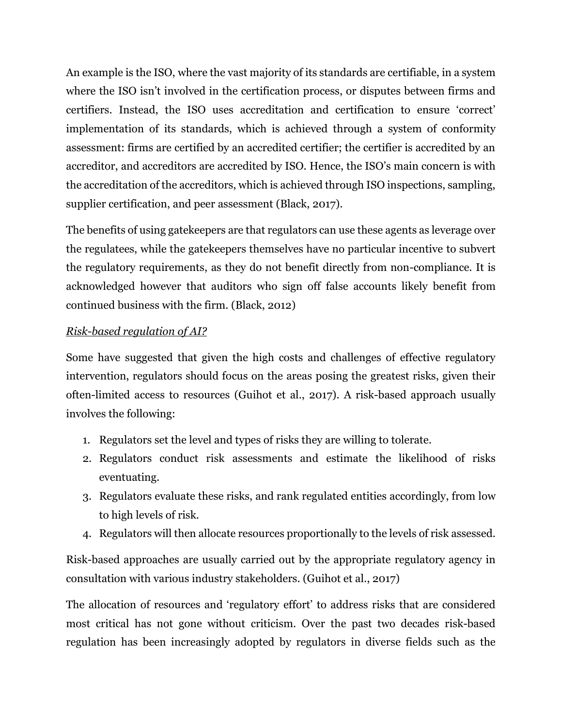An example is the ISO, where the vast majority of its standards are certifiable, in a system where the ISO isn't involved in the certification process, or disputes between firms and certifiers. Instead, the ISO uses accreditation and certification to ensure 'correct' implementation of its standards, which is achieved through a system of conformity assessment: firms are certified by an accredited certifier; the certifier is accredited by an accreditor, and accreditors are accredited by ISO. Hence, the ISO's main concern is with the accreditation of the accreditors, which is achieved through ISO inspections, sampling, supplier certification, and peer assessment (Black, 2017).

The benefits of using gatekeepers are that regulators can use these agents as leverage over the regulatees, while the gatekeepers themselves have no particular incentive to subvert the regulatory requirements, as they do not benefit directly from non-compliance. It is acknowledged however that auditors who sign off false accounts likely benefit from continued business with the firm. (Black, 2012)

# *Risk-based regulation of AI?*

Some have suggested that given the high costs and challenges of effective regulatory intervention, regulators should focus on the areas posing the greatest risks, given their often-limited access to resources (Guihot et al., 2017). A risk-based approach usually involves the following:

- 1. Regulators set the level and types of risks they are willing to tolerate.
- 2. Regulators conduct risk assessments and estimate the likelihood of risks eventuating.
- 3. Regulators evaluate these risks, and rank regulated entities accordingly, from low to high levels of risk.
- 4. Regulators will then allocate resources proportionally to the levels of risk assessed.

Risk-based approaches are usually carried out by the appropriate regulatory agency in consultation with various industry stakeholders. (Guihot et al., 2017)

The allocation of resources and 'regulatory effort' to address risks that are considered most critical has not gone without criticism. Over the past two decades risk-based regulation has been increasingly adopted by regulators in diverse fields such as the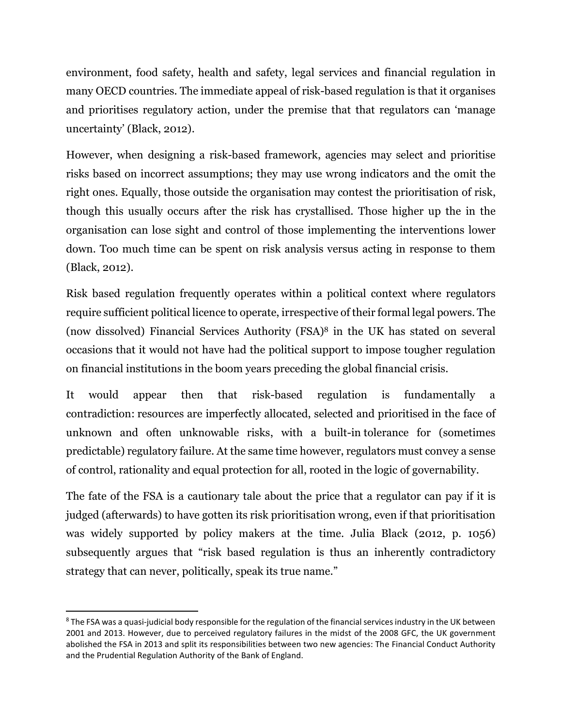environment, food safety, health and safety, legal services and financial regulation in many OECD countries. The immediate appeal of risk-based regulation is that it organises and prioritises regulatory action, under the premise that that regulators can 'manage uncertainty' (Black, 2012).

However, when designing a risk-based framework, agencies may select and prioritise risks based on incorrect assumptions; they may use wrong indicators and the omit the right ones. Equally, those outside the organisation may contest the prioritisation of risk, though this usually occurs after the risk has crystallised. Those higher up the in the organisation can lose sight and control of those implementing the interventions lower down. Too much time can be spent on risk analysis versus acting in response to them (Black, 2012).

Risk based regulation frequently operates within a political context where regulators require sufficient political licence to operate, irrespective of their formal legal powers. The (now dissolved) Financial Services Authority (FSA)<sup>8</sup> in the UK has stated on several occasions that it would not have had the political support to impose tougher regulation on financial institutions in the boom years preceding the global financial crisis.

It would appear then that risk-based regulation is fundamentally a contradiction: resources are imperfectly allocated, selected and prioritised in the face of unknown and often unknowable risks, with a built-in tolerance for (sometimes predictable) regulatory failure. At the same time however, regulators must convey a sense of control, rationality and equal protection for all, rooted in the logic of governability.

The fate of the FSA is a cautionary tale about the price that a regulator can pay if it is judged (afterwards) to have gotten its risk prioritisation wrong, even if that prioritisation was widely supported by policy makers at the time. Julia Black (2012, p. 1056) subsequently argues that "risk based regulation is thus an inherently contradictory strategy that can never, politically, speak its true name."

l

<sup>&</sup>lt;sup>8</sup> The FSA was a quasi-judicial body responsible for the regulation of the financial services industry in the UK between 2001 and 2013. However, due to perceived regulatory failures in the midst of the 2008 GFC, the UK government abolished the FSA in 2013 and split its responsibilities between two new agencies: The Financial Conduct Authority and the Prudential Regulation Authority of the Bank of England.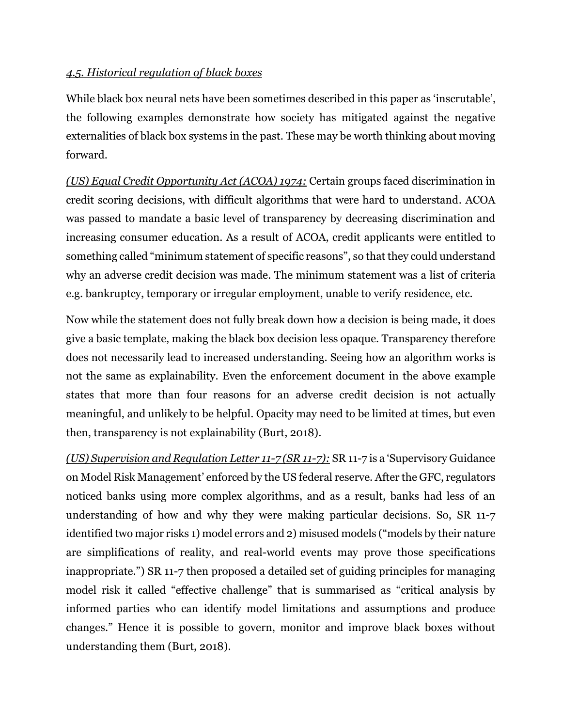## *4.5. Historical regulation of black boxes*

While black box neural nets have been sometimes described in this paper as 'inscrutable', the following examples demonstrate how society has mitigated against the negative externalities of black box systems in the past. These may be worth thinking about moving forward.

*(US) Equal Credit Opportunity Act (ACOA) 1974:* Certain groups faced discrimination in credit scoring decisions, with difficult algorithms that were hard to understand. ACOA was passed to mandate a basic level of transparency by decreasing discrimination and increasing consumer education. As a result of ACOA, credit applicants were entitled to something called "minimum statement of specific reasons", so that they could understand why an adverse credit decision was made. The minimum statement was a list of criteria e.g. bankruptcy, temporary or irregular employment, unable to verify residence, etc.

Now while the statement does not fully break down how a decision is being made, it does give a basic template, making the black box decision less opaque. Transparency therefore does not necessarily lead to increased understanding. Seeing how an algorithm works is not the same as explainability. Even the enforcement document in the above example states that more than four reasons for an adverse credit decision is not actually meaningful, and unlikely to be helpful. Opacity may need to be limited at times, but even then, transparency is not explainability (Burt, 2018).

*(US) Supervision and Regulation Letter 11-7 (SR 11-7):* SR 11-7 is a 'Supervisory Guidance on Model Risk Management' enforced by the US federal reserve. After the GFC, regulators noticed banks using more complex algorithms, and as a result, banks had less of an understanding of how and why they were making particular decisions. So, SR 11-7 identified two major risks 1) model errors and 2) misused models ("models by their nature are simplifications of reality, and real-world events may prove those specifications inappropriate.") SR 11-7 then proposed a detailed set of guiding principles for managing model risk it called "effective challenge" that is summarised as "critical analysis by informed parties who can identify model limitations and assumptions and produce changes." Hence it is possible to govern, monitor and improve black boxes without understanding them (Burt, 2018).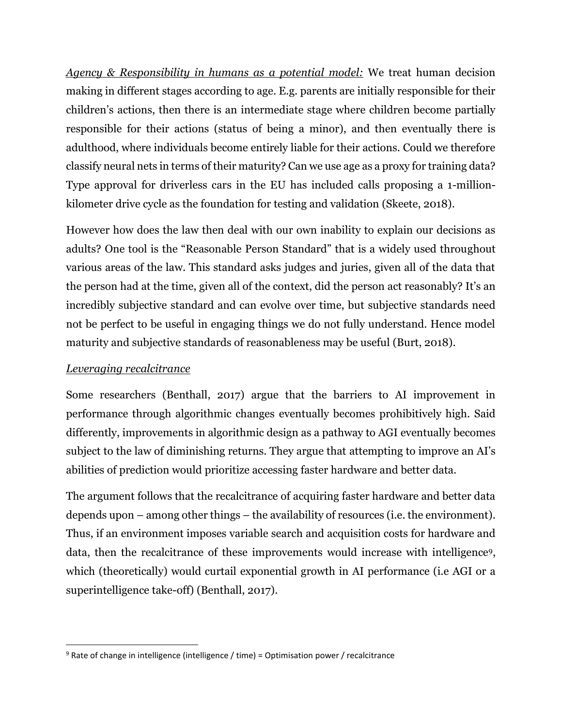*Agency & Responsibility in humans as a potential model:* We treat human decision making in different stages according to age. E.g. parents are initially responsible for their children's actions, then there is an intermediate stage where children become partially responsible for their actions (status of being a minor), and then eventually there is adulthood, where individuals become entirely liable for their actions. Could we therefore classify neural nets in terms of their maturity? Can we use age as a proxy for training data? Type approval for driverless cars in the EU has included calls proposing a 1-millionkilometer drive cycle as the foundation for testing and validation (Skeete, 2018).

However how does the law then deal with our own inability to explain our decisions as adults? One tool is the "Reasonable Person Standard" that is a widely used throughout various areas of the law. This standard asks judges and juries, given all of the data that the person had at the time, given all of the context, did the person act reasonably? It's an incredibly subjective standard and can evolve over time, but subjective standards need not be perfect to be useful in engaging things we do not fully understand. Hence model maturity and subjective standards of reasonableness may be useful (Burt, 2018).

## *Leveraging recalcitrance*

 $\overline{\phantom{a}}$ 

Some researchers (Benthall, 2017) argue that the barriers to AI improvement in performance through algorithmic changes eventually becomes prohibitively high. Said differently, improvements in algorithmic design as a pathway to AGI eventually becomes subject to the law of diminishing returns. They argue that attempting to improve an AI's abilities of prediction would prioritize accessing faster hardware and better data.

The argument follows that the recalcitrance of acquiring faster hardware and better data depends upon – among other things – the availability of resources (i.e. the environment). Thus, if an environment imposes variable search and acquisition costs for hardware and data, then the recalcitrance of these improvements would increase with intelligence9, which (theoretically) would curtail exponential growth in AI performance (i.e AGI or a superintelligence take-off) (Benthall, 2017).

 $9$  Rate of change in intelligence (intelligence / time) = Optimisation power / recalcitrance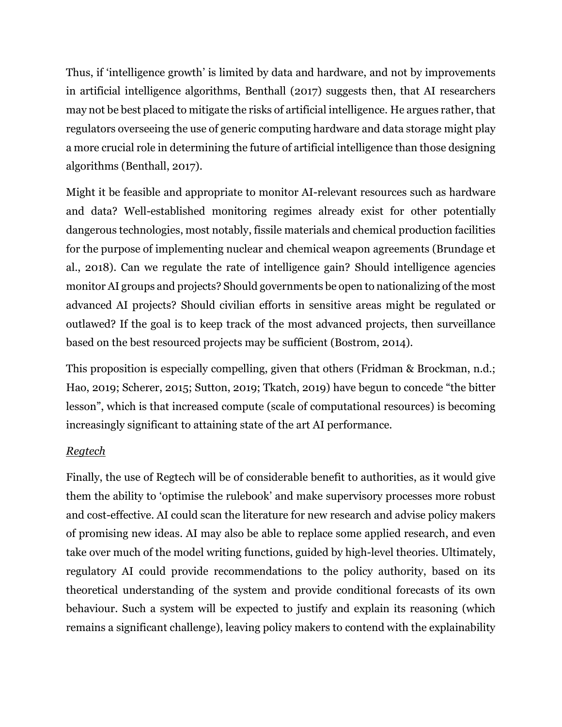Thus, if 'intelligence growth' is limited by data and hardware, and not by improvements in artificial intelligence algorithms, Benthall (2017) suggests then, that AI researchers may not be best placed to mitigate the risks of artificial intelligence. He argues rather, that regulators overseeing the use of generic computing hardware and data storage might play a more crucial role in determining the future of artificial intelligence than those designing algorithms (Benthall, 2017).

Might it be feasible and appropriate to monitor AI-relevant resources such as hardware and data? Well-established monitoring regimes already exist for other potentially dangerous technologies, most notably, fissile materials and chemical production facilities for the purpose of implementing nuclear and chemical weapon agreements (Brundage et al., 2018). Can we regulate the rate of intelligence gain? Should intelligence agencies monitor AI groups and projects? Should governments be open to nationalizing of the most advanced AI projects? Should civilian efforts in sensitive areas might be regulated or outlawed? If the goal is to keep track of the most advanced projects, then surveillance based on the best resourced projects may be sufficient (Bostrom, 2014).

This proposition is especially compelling, given that others (Fridman & Brockman, n.d.; Hao, 2019; Scherer, 2015; Sutton, 2019; Tkatch, 2019) have begun to concede "the bitter lesson", which is that increased compute (scale of computational resources) is becoming increasingly significant to attaining state of the art AI performance.

## *Regtech*

Finally, the use of Regtech will be of considerable benefit to authorities, as it would give them the ability to 'optimise the rulebook' and make supervisory processes more robust and cost-effective. AI could scan the literature for new research and advise policy makers of promising new ideas. AI may also be able to replace some applied research, and even take over much of the model writing functions, guided by high-level theories. Ultimately, regulatory AI could provide recommendations to the policy authority, based on its theoretical understanding of the system and provide conditional forecasts of its own behaviour. Such a system will be expected to justify and explain its reasoning (which remains a significant challenge), leaving policy makers to contend with the explainability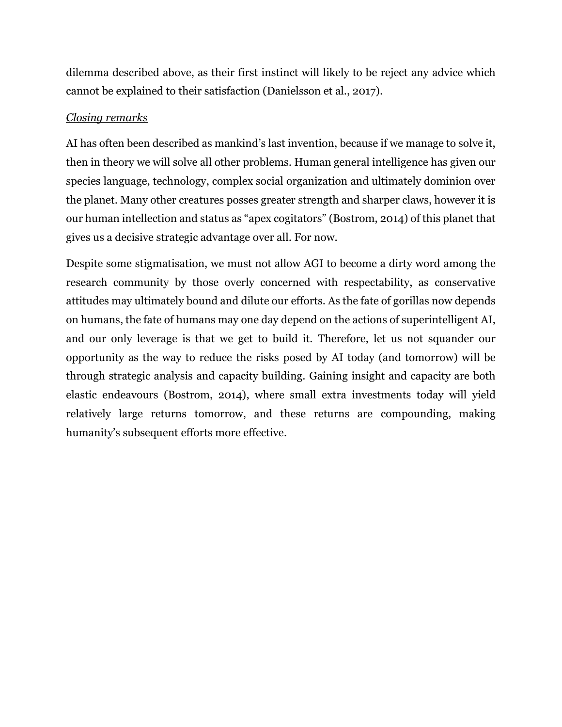dilemma described above, as their first instinct will likely to be reject any advice which cannot be explained to their satisfaction (Danielsson et al., 2017).

## *Closing remarks*

AI has often been described as mankind's last invention, because if we manage to solve it, then in theory we will solve all other problems. Human general intelligence has given our species language, technology, complex social organization and ultimately dominion over the planet. Many other creatures posses greater strength and sharper claws, however it is our human intellection and status as "apex cogitators" (Bostrom, 2014) of this planet that gives us a decisive strategic advantage over all. For now.

Despite some stigmatisation, we must not allow AGI to become a dirty word among the research community by those overly concerned with respectability, as conservative attitudes may ultimately bound and dilute our efforts. As the fate of gorillas now depends on humans, the fate of humans may one day depend on the actions of superintelligent AI, and our only leverage is that we get to build it. Therefore, let us not squander our opportunity as the way to reduce the risks posed by AI today (and tomorrow) will be through strategic analysis and capacity building. Gaining insight and capacity are both elastic endeavours (Bostrom, 2014), where small extra investments today will yield relatively large returns tomorrow, and these returns are compounding, making humanity's subsequent efforts more effective.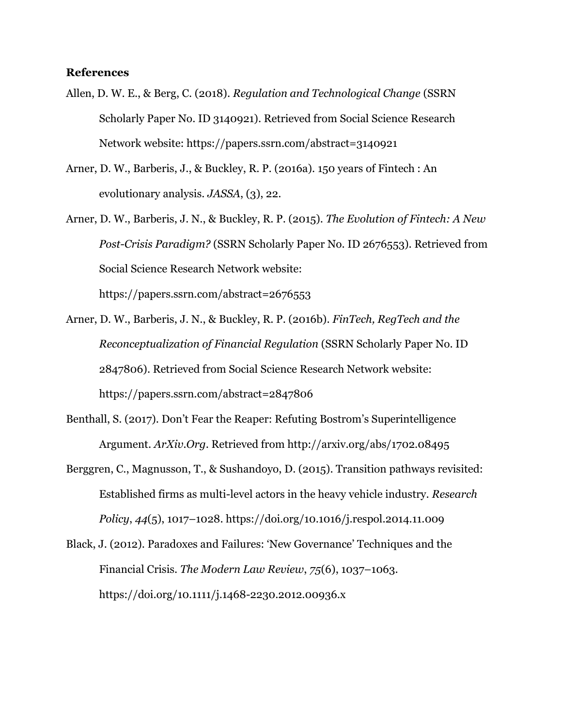#### **References**

- Allen, D. W. E., & Berg, C. (2018). *Regulation and Technological Change* (SSRN Scholarly Paper No. ID 3140921). Retrieved from Social Science Research Network website: https://papers.ssrn.com/abstract=3140921
- Arner, D. W., Barberis, J., & Buckley, R. P. (2016a). 150 years of Fintech : An evolutionary analysis. *JASSA*, (3), 22.
- Arner, D. W., Barberis, J. N., & Buckley, R. P. (2015). *The Evolution of Fintech: A New Post-Crisis Paradigm?* (SSRN Scholarly Paper No. ID 2676553). Retrieved from Social Science Research Network website: https://papers.ssrn.com/abstract=2676553
- Arner, D. W., Barberis, J. N., & Buckley, R. P. (2016b). *FinTech, RegTech and the Reconceptualization of Financial Regulation* (SSRN Scholarly Paper No. ID 2847806). Retrieved from Social Science Research Network website: https://papers.ssrn.com/abstract=2847806
- Benthall, S. (2017). Don't Fear the Reaper: Refuting Bostrom's Superintelligence Argument. *ArXiv.Org*. Retrieved from http://arxiv.org/abs/1702.08495
- Berggren, C., Magnusson, T., & Sushandoyo, D. (2015). Transition pathways revisited: Established firms as multi-level actors in the heavy vehicle industry. *Research Policy*, *44*(5), 1017–1028. https://doi.org/10.1016/j.respol.2014.11.009
- Black, J. (2012). Paradoxes and Failures: 'New Governance' Techniques and the Financial Crisis. *The Modern Law Review*, *75*(6), 1037–1063. https://doi.org/10.1111/j.1468-2230.2012.00936.x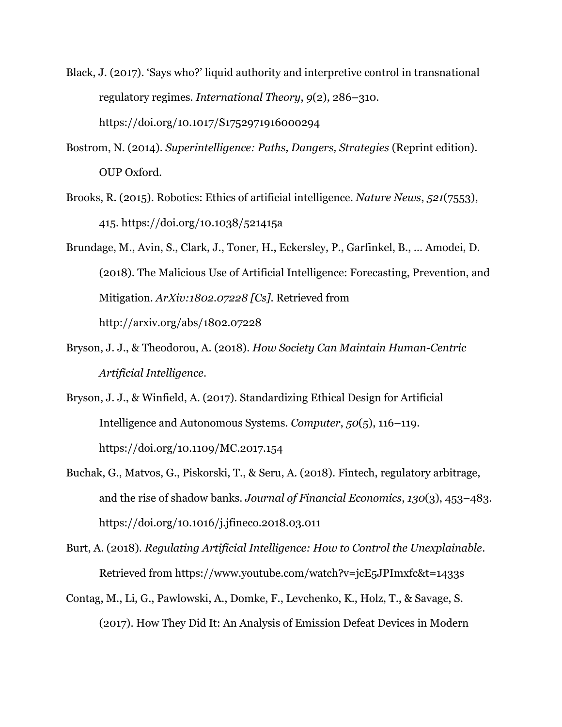- Black, J. (2017). 'Says who?' liquid authority and interpretive control in transnational regulatory regimes. *International Theory*, *9*(2), 286–310. https://doi.org/10.1017/S1752971916000294
- Bostrom, N. (2014). *Superintelligence: Paths, Dangers, Strategies* (Reprint edition). OUP Oxford.
- Brooks, R. (2015). Robotics: Ethics of artificial intelligence. *Nature News*, *521*(7553), 415. https://doi.org/10.1038/521415a
- Brundage, M., Avin, S., Clark, J., Toner, H., Eckersley, P., Garfinkel, B., … Amodei, D. (2018). The Malicious Use of Artificial Intelligence: Forecasting, Prevention, and Mitigation. *ArXiv:1802.07228 [Cs]*. Retrieved from http://arxiv.org/abs/1802.07228
- Bryson, J. J., & Theodorou, A. (2018). *How Society Can Maintain Human-Centric Artificial Intelligence*.
- Bryson, J. J., & Winfield, A. (2017). Standardizing Ethical Design for Artificial Intelligence and Autonomous Systems. *Computer*, *50*(5), 116–119. https://doi.org/10.1109/MC.2017.154
- Buchak, G., Matvos, G., Piskorski, T., & Seru, A. (2018). Fintech, regulatory arbitrage, and the rise of shadow banks. *Journal of Financial Economics*, *130*(3), 453–483. https://doi.org/10.1016/j.jfineco.2018.03.011
- Burt, A. (2018). *Regulating Artificial Intelligence: How to Control the Unexplainable*. Retrieved from https://www.youtube.com/watch?v=jcE5JPImxfc&t=1433s
- Contag, M., Li, G., Pawlowski, A., Domke, F., Levchenko, K., Holz, T., & Savage, S. (2017). How They Did It: An Analysis of Emission Defeat Devices in Modern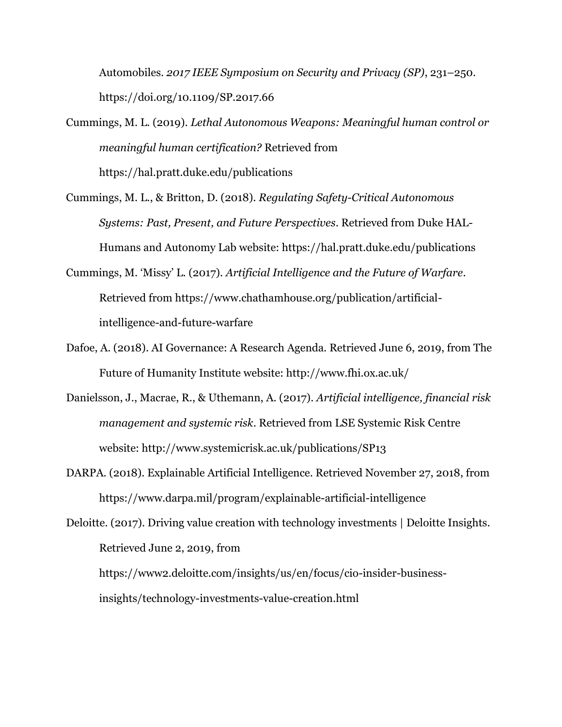Automobiles. *2017 IEEE Symposium on Security and Privacy (SP)*, 231–250. https://doi.org/10.1109/SP.2017.66

Cummings, M. L. (2019). *Lethal Autonomous Weapons: Meaningful human control or meaningful human certification?* Retrieved from https://hal.pratt.duke.edu/publications

- Cummings, M. L., & Britton, D. (2018). *Regulating Safety-Critical Autonomous Systems: Past, Present, and Future Perspectives*. Retrieved from Duke HAL-Humans and Autonomy Lab website: https://hal.pratt.duke.edu/publications
- Cummings, M. 'Missy' L. (2017). *Artificial Intelligence and the Future of Warfare*. Retrieved from https://www.chathamhouse.org/publication/artificialintelligence-and-future-warfare
- Dafoe, A. (2018). AI Governance: A Research Agenda. Retrieved June 6, 2019, from The Future of Humanity Institute website: http://www.fhi.ox.ac.uk/
- Danielsson, J., Macrae, R., & Uthemann, A. (2017). *Artificial intelligence, financial risk management and systemic risk*. Retrieved from LSE Systemic Risk Centre website: http://www.systemicrisk.ac.uk/publications/SP13
- DARPA. (2018). Explainable Artificial Intelligence. Retrieved November 27, 2018, from https://www.darpa.mil/program/explainable-artificial-intelligence

Deloitte. (2017). Driving value creation with technology investments | Deloitte Insights. Retrieved June 2, 2019, from https://www2.deloitte.com/insights/us/en/focus/cio-insider-business-

insights/technology-investments-value-creation.html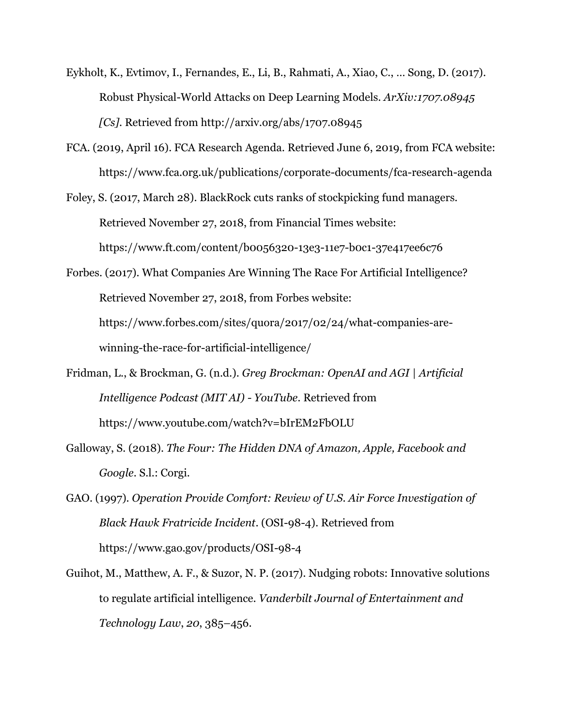- Eykholt, K., Evtimov, I., Fernandes, E., Li, B., Rahmati, A., Xiao, C., … Song, D. (2017). Robust Physical-World Attacks on Deep Learning Models. *ArXiv:1707.08945 [Cs]*. Retrieved from http://arxiv.org/abs/1707.08945
- FCA. (2019, April 16). FCA Research Agenda. Retrieved June 6, 2019, from FCA website: https://www.fca.org.uk/publications/corporate-documents/fca-research-agenda
- Foley, S. (2017, March 28). BlackRock cuts ranks of stockpicking fund managers. Retrieved November 27, 2018, from Financial Times website: https://www.ft.com/content/b0056320-13e3-11e7-b0c1-37e417ee6c76
- Forbes. (2017). What Companies Are Winning The Race For Artificial Intelligence? Retrieved November 27, 2018, from Forbes website: https://www.forbes.com/sites/quora/2017/02/24/what-companies-arewinning-the-race-for-artificial-intelligence/
- Fridman, L., & Brockman, G. (n.d.). *Greg Brockman: OpenAI and AGI | Artificial Intelligence Podcast (MIT AI) - YouTube*. Retrieved from https://www.youtube.com/watch?v=bIrEM2FbOLU
- Galloway, S. (2018). *The Four: The Hidden DNA of Amazon, Apple, Facebook and Google*. S.l.: Corgi.
- GAO. (1997). *Operation Provide Comfort: Review of U.S. Air Force Investigation of Black Hawk Fratricide Incident*. (OSI-98-4). Retrieved from https://www.gao.gov/products/OSI-98-4
- Guihot, M., Matthew, A. F., & Suzor, N. P. (2017). Nudging robots: Innovative solutions to regulate artificial intelligence. *Vanderbilt Journal of Entertainment and Technology Law*, *20*, 385–456.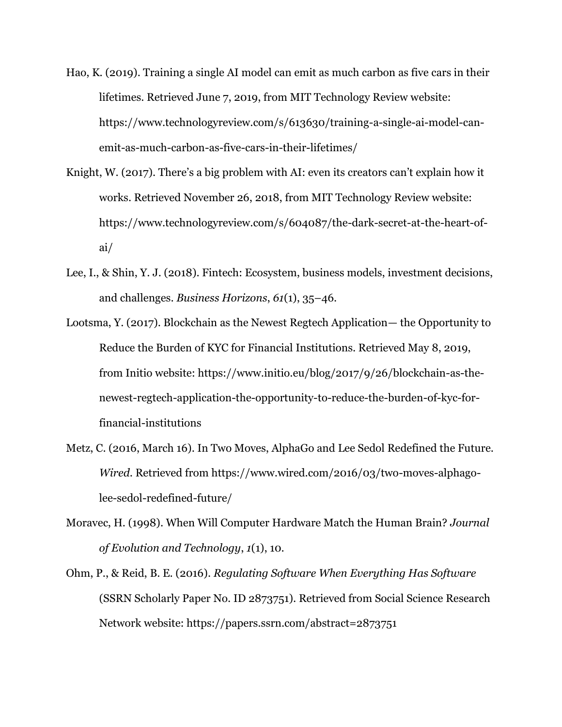- Hao, K. (2019). Training a single AI model can emit as much carbon as five cars in their lifetimes. Retrieved June 7, 2019, from MIT Technology Review website: https://www.technologyreview.com/s/613630/training-a-single-ai-model-canemit-as-much-carbon-as-five-cars-in-their-lifetimes/
- Knight, W. (2017). There's a big problem with AI: even its creators can't explain how it works. Retrieved November 26, 2018, from MIT Technology Review website: https://www.technologyreview.com/s/604087/the-dark-secret-at-the-heart-ofai/
- Lee, I., & Shin, Y. J. (2018). Fintech: Ecosystem, business models, investment decisions, and challenges. *Business Horizons*, *61*(1), 35–46.
- Lootsma, Y. (2017). Blockchain as the Newest Regtech Application— the Opportunity to Reduce the Burden of KYC for Financial Institutions. Retrieved May 8, 2019, from Initio website: https://www.initio.eu/blog/2017/9/26/blockchain-as-thenewest-regtech-application-the-opportunity-to-reduce-the-burden-of-kyc-forfinancial-institutions
- Metz, C. (2016, March 16). In Two Moves, AlphaGo and Lee Sedol Redefined the Future. *Wired*. Retrieved from https://www.wired.com/2016/03/two-moves-alphagolee-sedol-redefined-future/
- Moravec, H. (1998). When Will Computer Hardware Match the Human Brain? *Journal of Evolution and Technology*, *1*(1), 10.
- Ohm, P., & Reid, B. E. (2016). *Regulating Software When Everything Has Software* (SSRN Scholarly Paper No. ID 2873751). Retrieved from Social Science Research Network website: https://papers.ssrn.com/abstract=2873751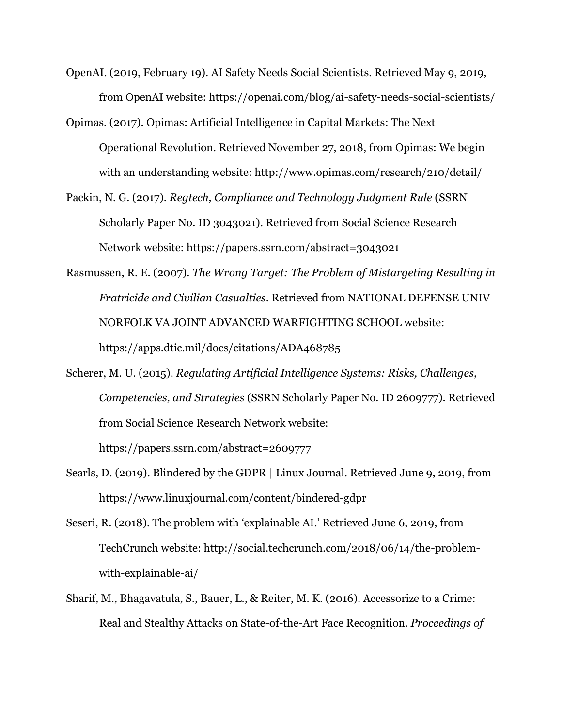- OpenAI. (2019, February 19). AI Safety Needs Social Scientists. Retrieved May 9, 2019, from OpenAI website: https://openai.com/blog/ai-safety-needs-social-scientists/
- Opimas. (2017). Opimas: Artificial Intelligence in Capital Markets: The Next Operational Revolution. Retrieved November 27, 2018, from Opimas: We begin with an understanding website: http://www.opimas.com/research/210/detail/
- Packin, N. G. (2017). *Regtech, Compliance and Technology Judgment Rule* (SSRN Scholarly Paper No. ID 3043021). Retrieved from Social Science Research Network website: https://papers.ssrn.com/abstract=3043021
- Rasmussen, R. E. (2007). *The Wrong Target: The Problem of Mistargeting Resulting in Fratricide and Civilian Casualties*. Retrieved from NATIONAL DEFENSE UNIV NORFOLK VA JOINT ADVANCED WARFIGHTING SCHOOL website: https://apps.dtic.mil/docs/citations/ADA468785
- Scherer, M. U. (2015). *Regulating Artificial Intelligence Systems: Risks, Challenges, Competencies, and Strategies* (SSRN Scholarly Paper No. ID 2609777). Retrieved from Social Science Research Network website: https://papers.ssrn.com/abstract=2609777
- Searls, D. (2019). Blindered by the GDPR | Linux Journal. Retrieved June 9, 2019, from https://www.linuxjournal.com/content/bindered-gdpr
- Seseri, R. (2018). The problem with 'explainable AI.' Retrieved June 6, 2019, from TechCrunch website: http://social.techcrunch.com/2018/06/14/the-problemwith-explainable-ai/
- Sharif, M., Bhagavatula, S., Bauer, L., & Reiter, M. K. (2016). Accessorize to a Crime: Real and Stealthy Attacks on State-of-the-Art Face Recognition. *Proceedings of*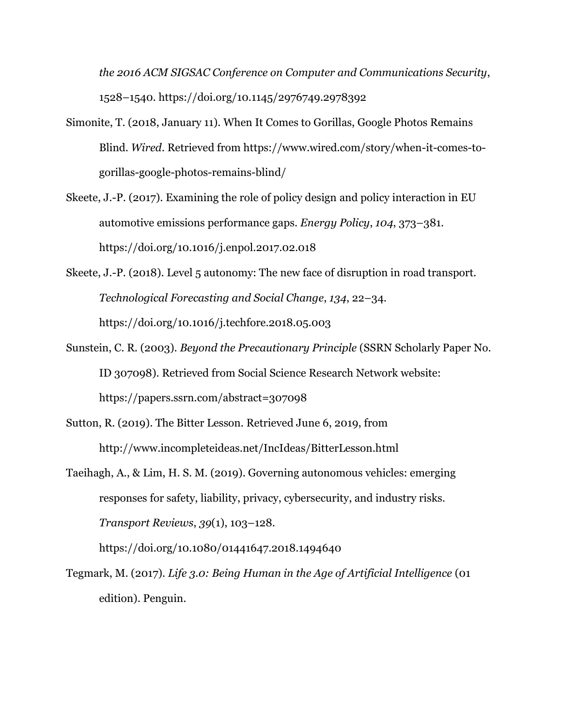*the 2016 ACM SIGSAC Conference on Computer and Communications Security*, 1528–1540. https://doi.org/10.1145/2976749.2978392

- Simonite, T. (2018, January 11). When It Comes to Gorillas, Google Photos Remains Blind. *Wired*. Retrieved from https://www.wired.com/story/when-it-comes-togorillas-google-photos-remains-blind/
- Skeete, J.-P. (2017). Examining the role of policy design and policy interaction in EU automotive emissions performance gaps. *Energy Policy*, *104*, 373–381. https://doi.org/10.1016/j.enpol.2017.02.018
- Skeete, J.-P. (2018). Level 5 autonomy: The new face of disruption in road transport. *Technological Forecasting and Social Change*, *134*, 22–34. https://doi.org/10.1016/j.techfore.2018.05.003
- Sunstein, C. R. (2003). *Beyond the Precautionary Principle* (SSRN Scholarly Paper No. ID 307098). Retrieved from Social Science Research Network website: https://papers.ssrn.com/abstract=307098
- Sutton, R. (2019). The Bitter Lesson. Retrieved June 6, 2019, from http://www.incompleteideas.net/IncIdeas/BitterLesson.html
- Taeihagh, A., & Lim, H. S. M. (2019). Governing autonomous vehicles: emerging responses for safety, liability, privacy, cybersecurity, and industry risks. *Transport Reviews*, *39*(1), 103–128.

https://doi.org/10.1080/01441647.2018.1494640

Tegmark, M. (2017). *Life 3.0: Being Human in the Age of Artificial Intelligence* (01 edition). Penguin.